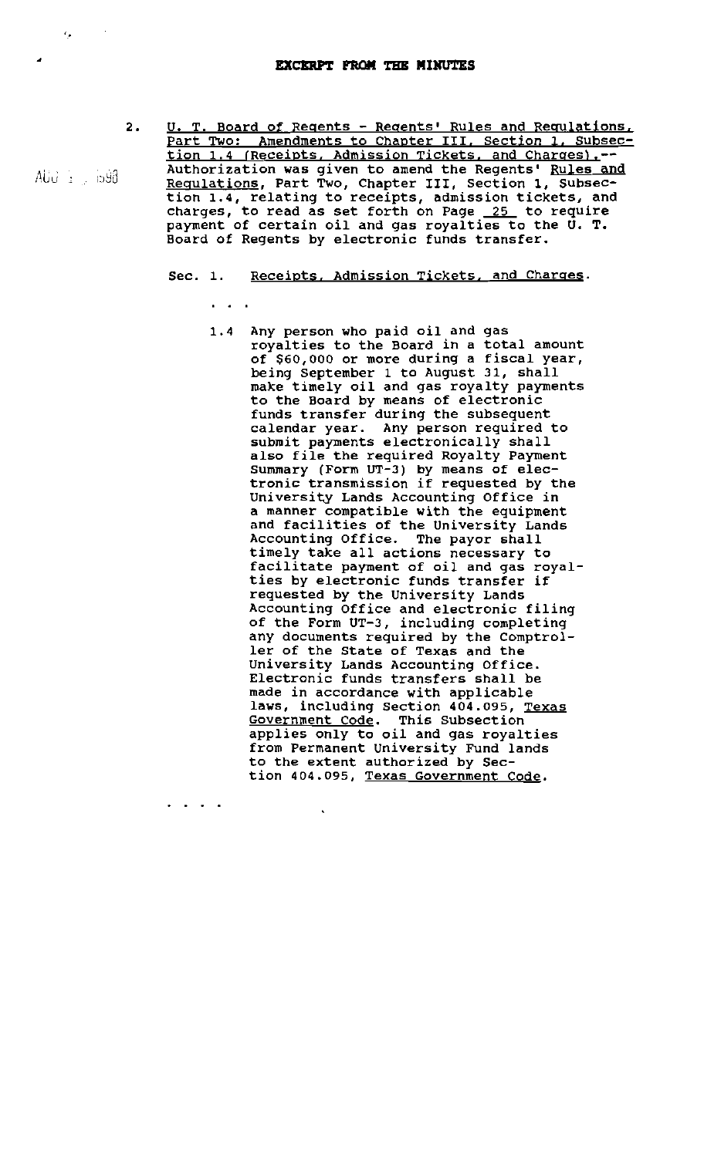$\mathbf{a} = \mathbf{a} + \mathbf{a} + \mathbf{a}$ 

- 2. U. T. Board of Regents Regents' Rules and Regulations. Part Two: Amendments to Chapter III. Section 1. Subsection 1.4 (Receipts, Admission Tickets, and Charges).--Authorization was given to amend the Regents' Rules and Regulations, Part Two, Chapter III, Section 1, Subsection 1.4, relating to receipts, admission tickets, and charges, to read as set forth on Page  $25$  to require payment of certain oil and gas royalties to the U. T. Board of Regents by electronic funds transfer.
	- Sec. 1. Receipts, Admission Tickets, and Charges.
		- 1.4 Any person who paid oil and gas royalties to the Board in a total amount of \$60,000 or more during a fiscal year, being September 1 to August 31, shall make timely oil and gas royalty payments to the Board by means of electronic funds transfer during the subsequent calendar year. Any person required to submit payments electronically shall submit payments electronically shart Summary (Form UT-3) by means of electronic transmission if requested by the University Lands Accounting Office in a manner compatible with the equipment and facilities of the University Lands Accounting Office. The payor shall timely take all actions necessary to facilitate payment of oil and gas royalties by electronic funds transfer if requested by the University Lands Accounting Office and electronic filing of the Form UT-3, including completing any documents required by the Comptroller of the State of Texas and the University Lands Accounting Office. Electronic funds transfers shall be made in accordance with applicable laws, including Section 404.095, Texas Government Code. This Subsection applies only to oil and gas royalties from Permanent university Fund lands to the extent authorized by Section 404.095, Texas Government Code.

AUU  $\pm$  598

 $\epsilon_{\rm g}$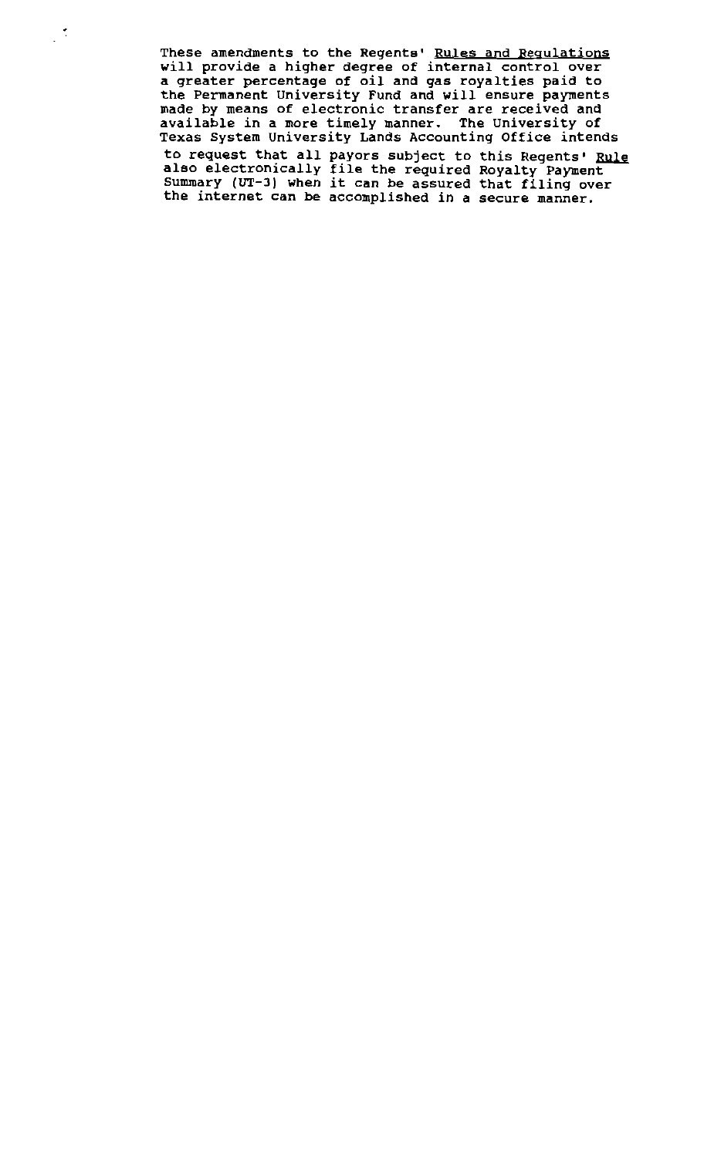These amendments to the Regents' Rules and Regulations will provide a higher degree of internal control over a greater percentage of oil and gas royalties paid to the Permanent University Fund and will ensure payments made by means of electronic transfer are received and available in a more timely manner. The University of Texas System University Lands Accounting Office intends to request that all payors subject to this Regents' also electronically file the required Royalty Payment also electronically life the required Royalty Payment<br>Summary (UT-3) when it can be assured that filing over the internet can be accomplished in a secure manner.

 $\mathbb{R}^2$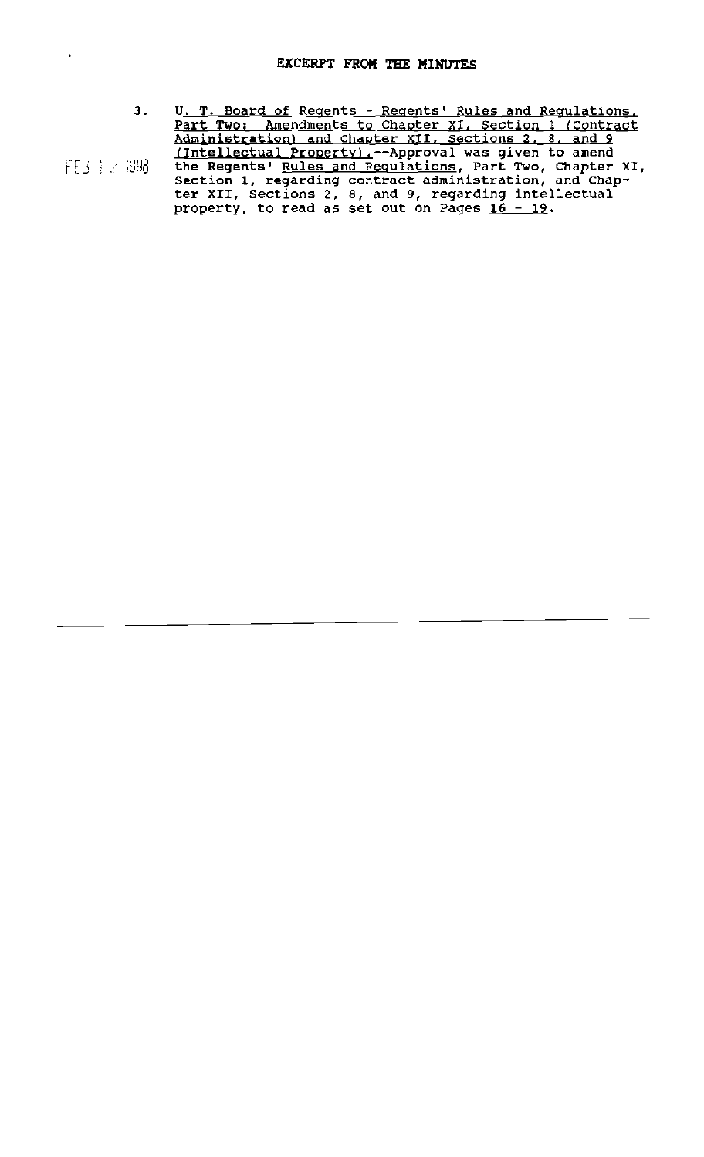$\ddot{\phantom{1}}$ 

- 3. U. T. Board of Regents Regents' Rules and Regulations. Part Two; Amendments to Chapter XI, Section 1 (Contract Administration) and Chapter XII, Sections 2, 8, and 9 (Intellectual Property) ,--Approval was given to amend FEB : 898 the Regents' Rules and Requlations, Part Two, Chapter XI, Section 1, regarding contract administration, and Chap
	- ter XII, Sections 2, 8, and 9, regarding intellectual property, to read as set out on Pages 16 - 19.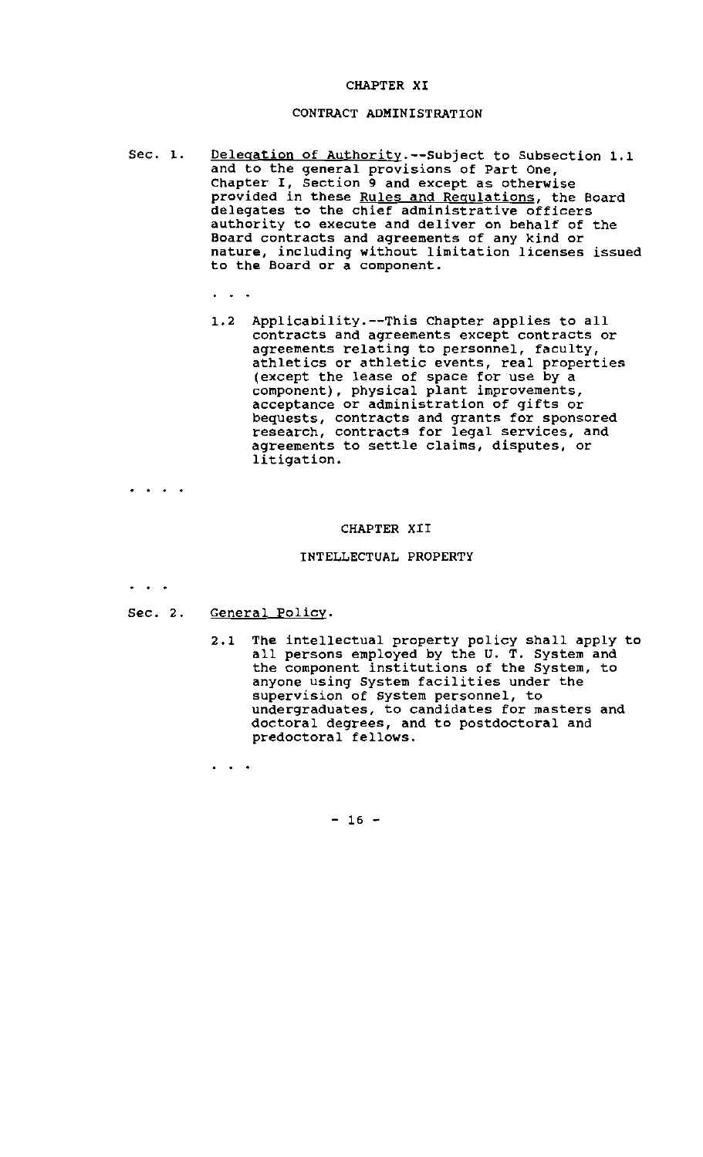## CHAPTER XI

## CONTRACT ADMINISTRATION

Sec. 1. Delegation of Authority.--Subject to Subsection 1.1 and to the general provisions of Part One, Chapter I, Section 9 and except as otherwise provided in these Rules and Regulations, the Board delegates to the chief administrative officers authority to execute and deliver on behalf of the Board contracts and agreements of any kind or nature, inclUding without limitation licenses issued to the Board or a component.

1.2 Applicability.--This Chapter applies to all contracts and agreements except contracts or agreements relating to personnel, faculty, athletics or athletic events, real properties (except the lease of space for use by a component), physical plant improvements, acceptance or administration of gifts or bequests, contracts and grants for sponsored research, contracts for legal services, and agreements to settle claims, disputes, or litigation.

 $\begin{array}{cccccccccc} \bullet & \bullet & \bullet & \bullet & \bullet & \bullet \end{array}$ 

#### CHAPTER XII

# INTELLECTUAL PROPERTY

 $\sim$   $\sim$ 

Sec. 2. General Policy.

 $\mathbf{r}=\mathbf{r}+\mathbf{r}$ 

2.1 The intellectual property policy shall apply to all persons employed by the U. T. System and the component institutions of the System, to anyone using System facilities under the supervision of system personnel, to undergraduates, to candidates for masters and doctoral degrees, and to postdoctoral and predoctoral fellows.

 $- 16 -$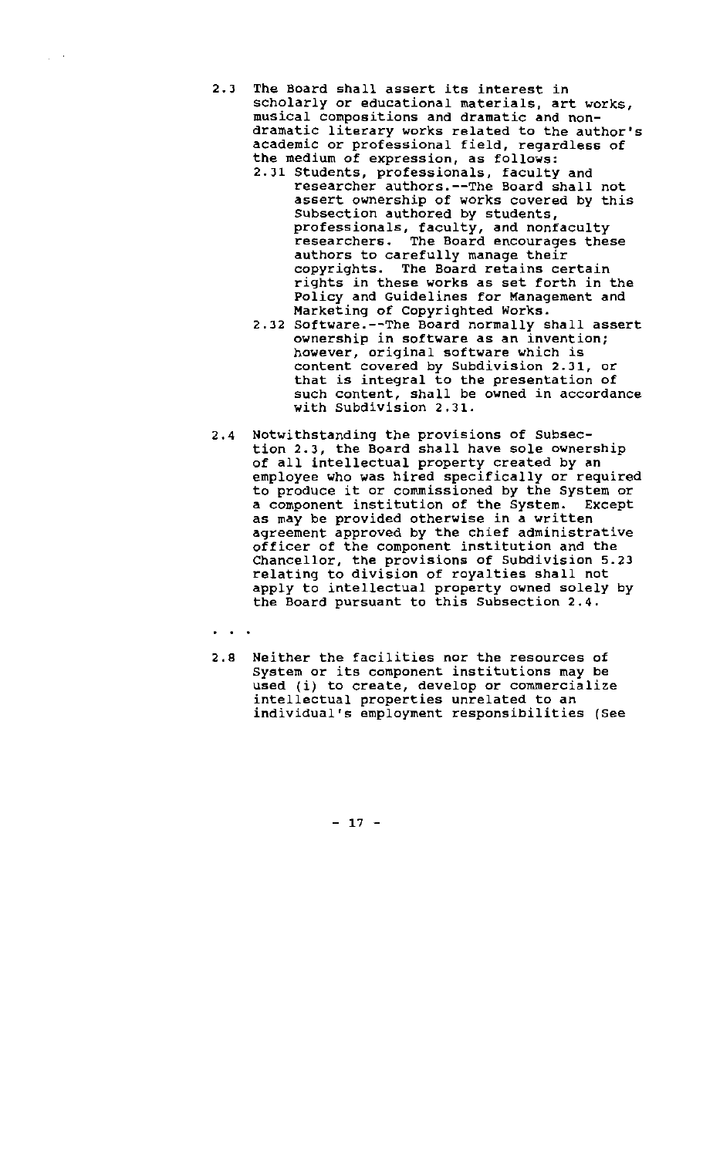- 2.3 The Board shall assert its interest in scholarly or educational materials, art works, musical compositions and dramatic and nondramatic literary works related to the author's academic or professional field, regardless of the medium of expression, as follows:
	- 2.31 Students, professionals, faculty and researcher authors.--The Board shall not assert ownership of works covered by this subsection authored by students, professionals, faculty, and nonfaculty researchers. The Board encourages these authors to carefully manage their copyrights. The Board retains certain rights in these works as set forth in the Policy and Guidelines for Management and Marketing of Copyrighted Works.
	- 2.32 Software.--The Board normally shall assert ownership in software as an invention; however, original software which is content covered by SUbdivision 2.31, or that is integral to the presentation of such content, shall be owned in accordance with Subdivision 2.31.
- 2.4 Notwithstanding the provisions of Subsection 2.3, the Board shall have sole ownership of all intellectual property created by an employee who was hired specifically or required to produce it or commissioned by the System or a component institution of the System. Except as may be provided otherwise in a written agreement approved by the chief administrative officer of the component institution and the Chancellor, the provisions of Subdivision 5.23 relating to division of royalties shall not apply to intellectual property owned solely by the Board pursuant to this Subsection 2.4.

 $\omega \rightarrow \tau$ 

2.8 Neither the facilities nor the resources of System or its component institutions may be used (i) to create, develop or commercialize intellectual properties unrelated to an individual's employment responsibilities (See

 $- 17 -$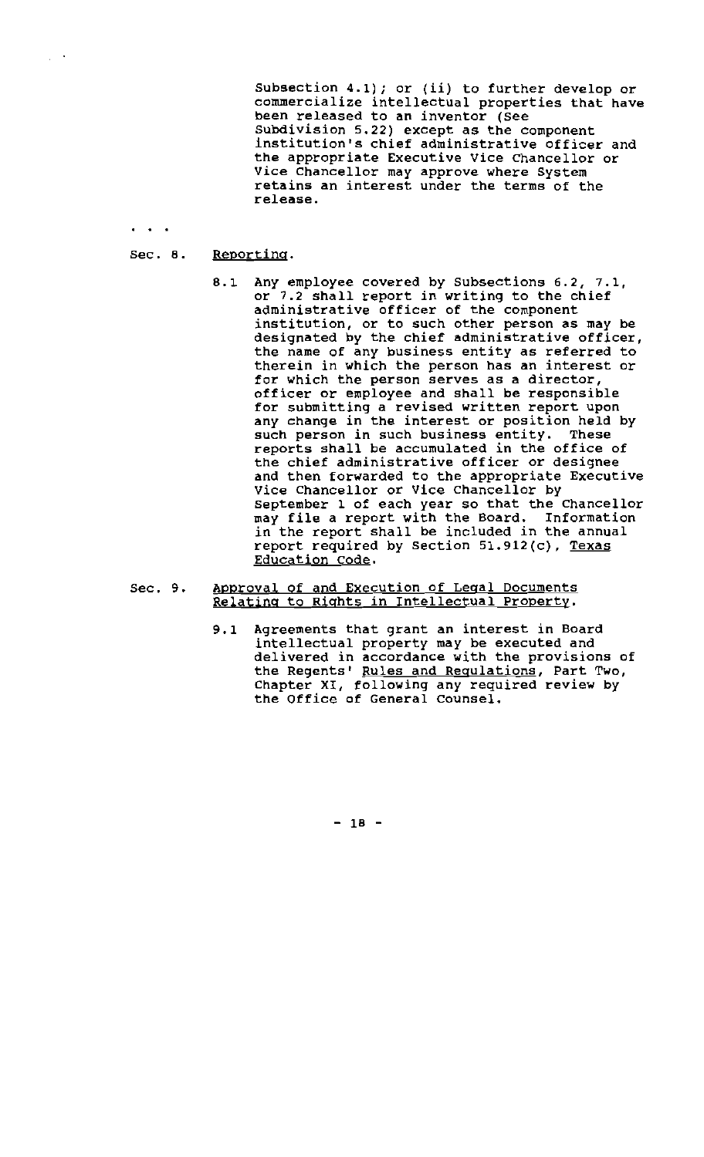Subsection 4.1); or (ii) to further develop or commercialize intellectual properties that have been released to an inventor (See Subdivision 5.22) except as the component institution's chief administrative officer and the appropriate Executive Vice Chancellor or Vice Chancellor may approve where System retains an interest under the terms of the release.

#### Sec. 8. Reporting.

 $\ddot{\phantom{a}}$ 

 $\mu \rightarrow$ 

- 8.1 Any employee covered by Subsections 6.2, 7.1, or 7.2 shall report in writing to the chief administrative officer of the component institution, or to such other person as may be designated by the chief administrative officer, the name of any business entity as referred to therein in which the person has an interest or for which the person serves as a director, officer or employee and shall be responsible for submitting a revised written report upon any change in the interest or position held by such person in such business entity. These reports shall be accumulated in the office of the chief administrative officer or designee and then forwarded to the appropriate Executive Vice Chancellor or Vice Chancellor by September 1 of each year so that the Chancellor may file a report with the Board. Information in the report shall be included in the annual report required by Section 51.912(c), Texas Education Code.
- Sec. 9. Approval of and Execution of Legal Documents Relating to Rights in Intellectual Property.
	- 9.1 Agreements that grant an interest in Board intellectual property may be executed and delivered in accordance with the provisions of the Regents' Rules and Regulations, Part Two, Chapter XI, following any required review by the Office of General counsel.

 $- 18 -$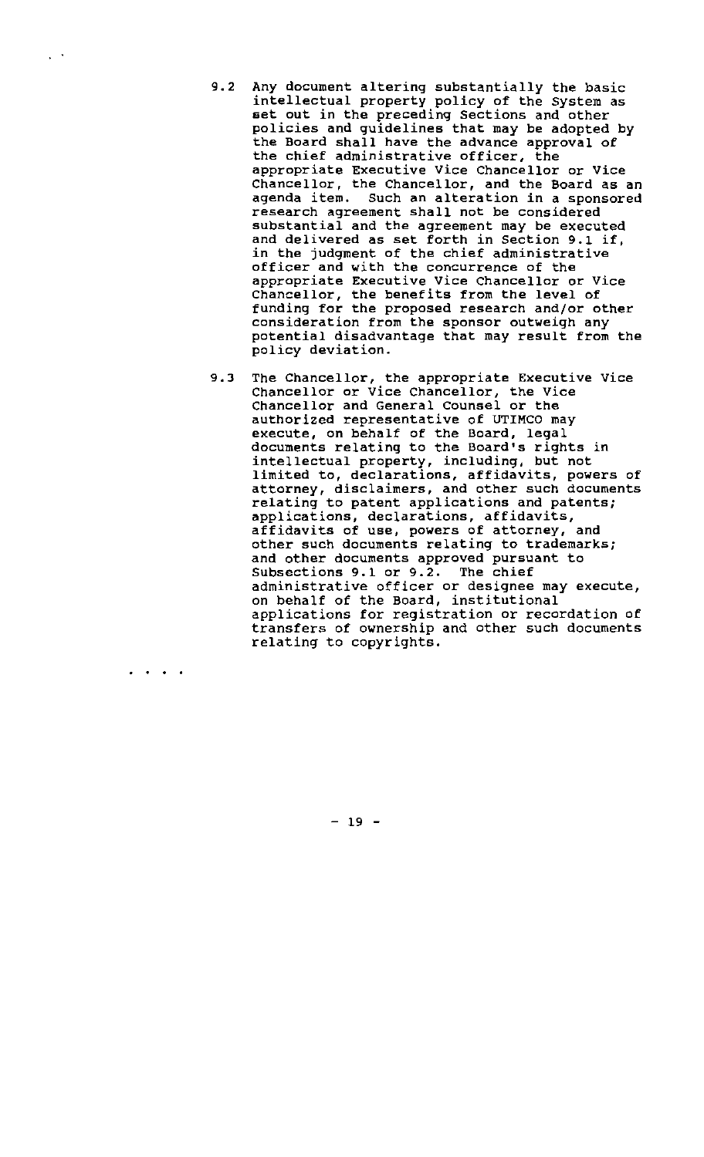- 9.2 Any document altering substantially the basic intellectual property policy of the System as set out in the preceding Sections and other policies and guidelines that may be adopted by the Board shall have the advance approval of the chief administrative officer, the appropriate Executive Vice Chancellor or Vice Chancellor, the Chancellor, and the Board as an agenda item. Such an alteration in a sponsored research agreement shall not be considered sUbstantial and the agreement may be executed and delivered as set forth in Section 9.1 if, in the judgment of the chief administrative officer and with the concurrence of the appropriate Executive Vice Chancellor or Vice Chancellor, the benefits from the level of funding for the proposed research and/or other consideration from the sponsor outweigh any potential disadvantage that may result from the policy deviation.
- 9.3 The Chancellor, the appropriate Executive Vice Chancellor or Vice Chancellor, the Vice Chancellor and General Counsel or the authorized representative of UTIMCO may execute, on behalf of the Board, legal documents relating to the Board's rights in intellectual property, including, but not limited to, declarations, affidavits, powers of attorney, disclaimers, and other such documents relating to patent applications and patents; applications, declarations, affidavits, affidavits of use, powers of attorney, and other such documents relating to trademarks; and other documents approved pursuant to Subsections 9.1 or 9.2. The chief administrative officer or designee may execute, on behalf of the Board, institutional applications for registration or recordation of transfers of ownership and other such documents relating to copyrights.

 $- 19 -$ 

· . . .

 $\mathcal{L}^{\mathcal{A}}$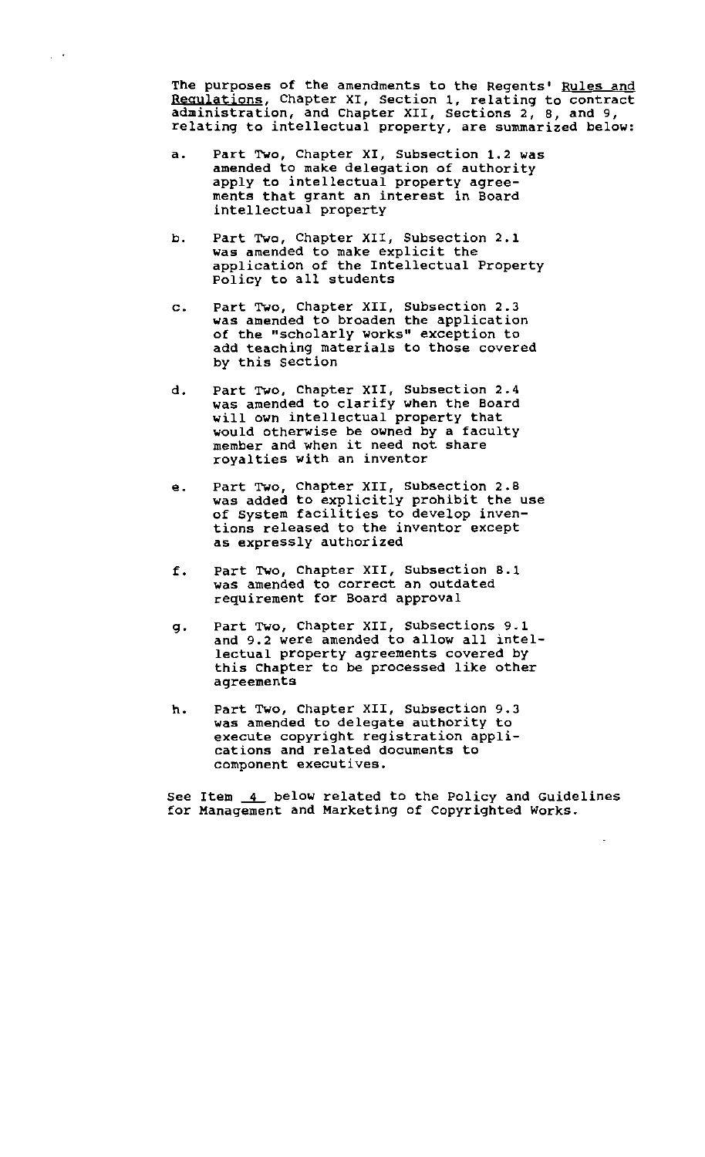The purposes of the amendments to the Regents' Rules and Regulations, Chapter XI, section 1, relating to contract administration, and Chapter XII, Sections 2, 8, and 9, relating to intellectual property, are summarized below:

a. Part Two, Chapter XI, Subsection 1.2 was amended to make delegation of authority apply to intellectual property agree ments that grant an interest in Board intellectual property

 $\frac{1}{2}$  .

- b. Part Two, Chapter XII, Subsection 2.1 was amended to make explicit the application of the Intellectual Property Policy to all students
- c. Part Two, Chapter XII, Subsection 2.3 was amended to broaden the application of the "scholarly works" exception to add teaching materials to those covered by this section
- d. Part Two, Chapter XII, Subsection 2.4 was amended to clarify when the Board will own intellectual property that would otherwise be owned by a faculty member and when it need not share royalties with an inventor
- e. Part Two, Chapter XII, Subsection 2.8 was added to explicitly prohibit the use of System facilities to develop inven tions released to the inventor except as expressly authorized
- f. Part Two, Chapter XII, Subsection 8.1 was amended to correct an outdated requirement for Board approval
- g. Part Two, Chapter XII, Subsections 9.1 and 9.2 were amended to allow all intel lectual property agreements covered by this Chapter to be processed like other agreements
- h. Part Two, Chapter XII, Subsection 9.3 was amended to delegate authority to execute copyright registration appli-<br>cations and related documents to cations and related documents to component executives.

See Item 4 below related to the Policy and Guidelines for Management and Marketing of Copyrighted Works.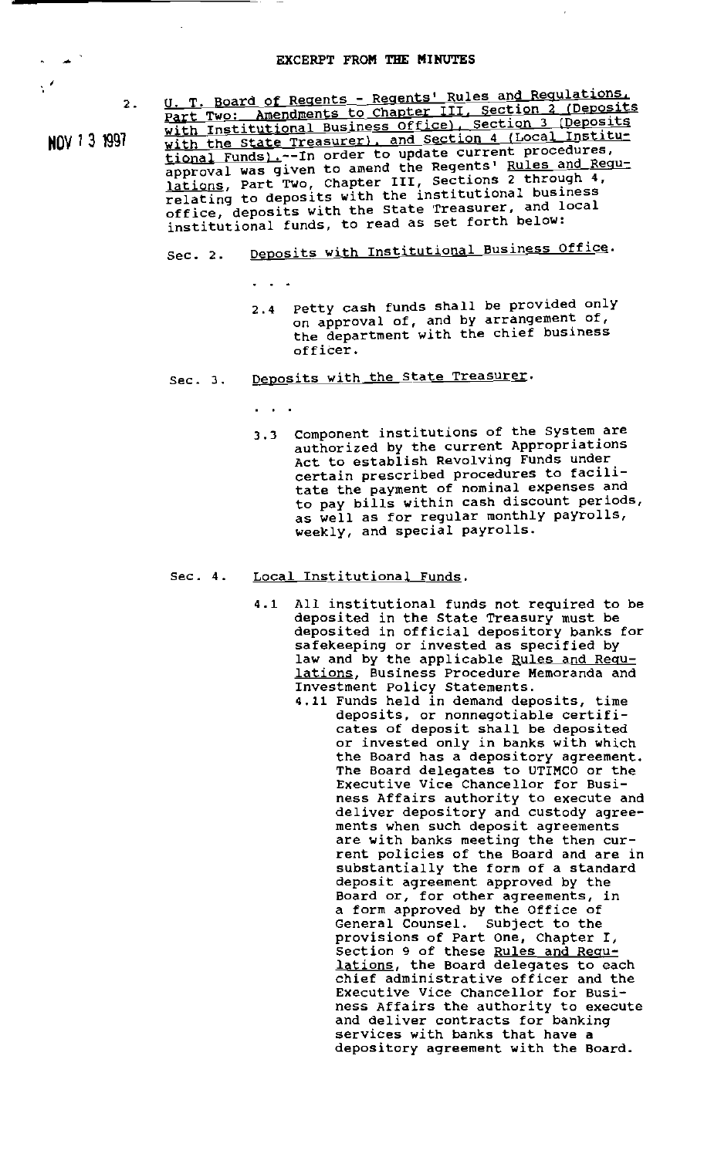$\frac{1}{\sqrt{2}}$ 

2. U. T. Board of Regents - Regents' Rules and Regulations. U. T. Board of Regence - Regence Russeller 111, Section 2 (Deposits Part Two: Amenumence to chapter of Section 3 (Deposits HOV 13 1991 with the state Treasurer), and Section 4 (Local Institutional Funds).-In order to update current procedures, approval was given to amend the Regents' Rules and Reguapproval was given to amend the hogeness 2 through 4, Iations, Part Two, Chapter 211, Contractional business relating to deposits with the file-toinstitutional funds, to read as set forth beloW:

# Sec. 2. Deposits with Institutional Business Office.

- 2.4 petty cash funds shall be provided only on approval of, and by arrangement of, the department with the chief business officer.
- Sec. 3. Deposits with the State Treasurer.
	- $\mathbf{r} = \mathbf{r} + \mathbf{r}$

 $\ddot{\phantom{1}}$ 

3.3 Component institutions of the system are authorized by the current Appropriations Act to establish Revolving Funds under certain prescribed procedures to facilitate the payment of nominal expenses and to pay bills within cash discount periods, as well as for regular monthly payrolls, weekly, and special payrolls.

# Sec. 4. Local Institutional Funds.

- 4.1 All institutional funds not required to be deposited in the State Treasury must be deposited in official depository banks for safekeeping or invested as specified by law and by the applicable Rules and Requ-**Lations, Business Procedure Memoranda and** Investment Policy Statements.
	- 4.11 Funds held in demand deposits, time deposits, or nonnegotiable certificates of deposit shall be deposited or invested only in banks with which the Board has a depository agreement. The Board delegates to UTIMCO or the Executive Vice Chancellor for Business Affairs authority to execute and deliver depository and custody agreements when such deposit agreements are with banks meeting the then current policies of the Board and are in substantially the form of a standard deposit agreement approved by the Board or, for other agreements, in a form approved by the Office of General Counsel. Subject to the provisions of Part One, Chapter I, Section 9 of these Rules and Regu beceron 3 or these <u>kares and kear</u> **chief** administrative officer and the Executive Vice Chancellor for Business Affairs the authority to execute and deliver contracts for banking and defined concruces for sunki depository agreement with the Board.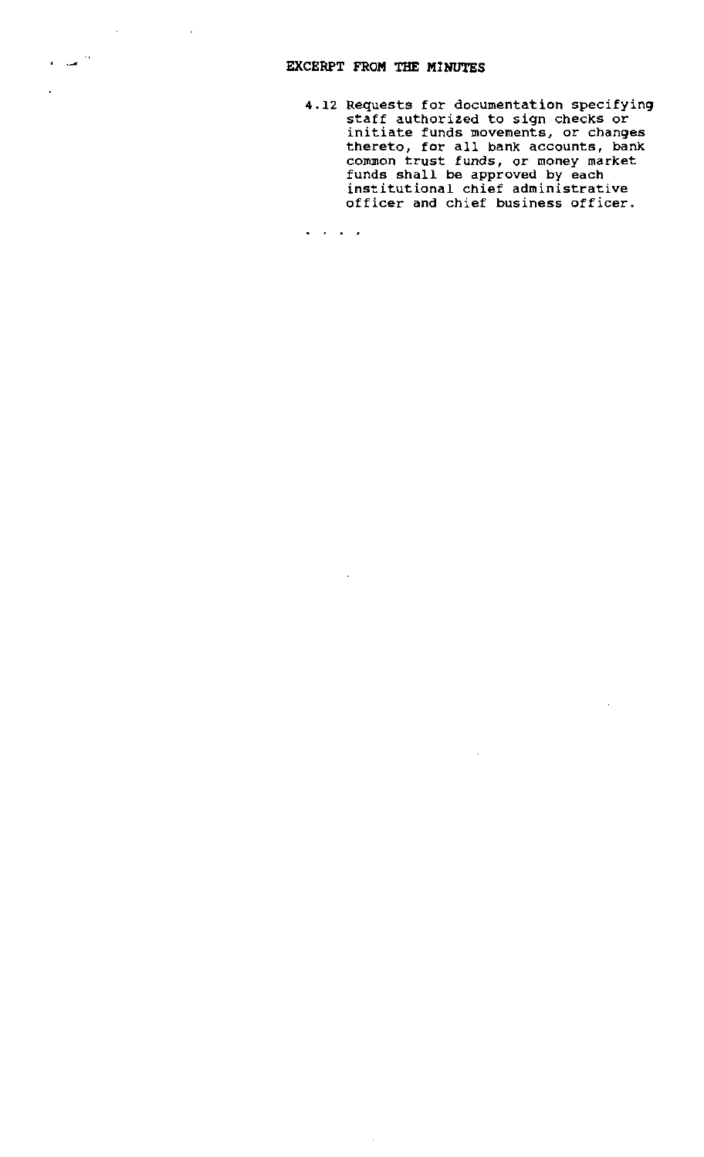4.12 Requests for documentation specifying staff authorized to sign checks or staff audhorized to sign dhecks of<br>initiate funds movements, or changes thereto, for all bank accounts, bank common trust funds, or money market funds shall be approved by each institutional chief administrative officer and chief business officer.

 $\sim$ 

 $\mathcal{L}$ 

 $\mathbf{L}^{\prime}$  ,  $\mathbf{L}^{\prime}$  ,  $\mathbf{L}^{\prime}$  ,  $\mathbf{L}^{\prime}$ 

 $\sim$ 

l,

 $\epsilon$  and  $\frac{1}{2}$ 

 $\mathbf{r}$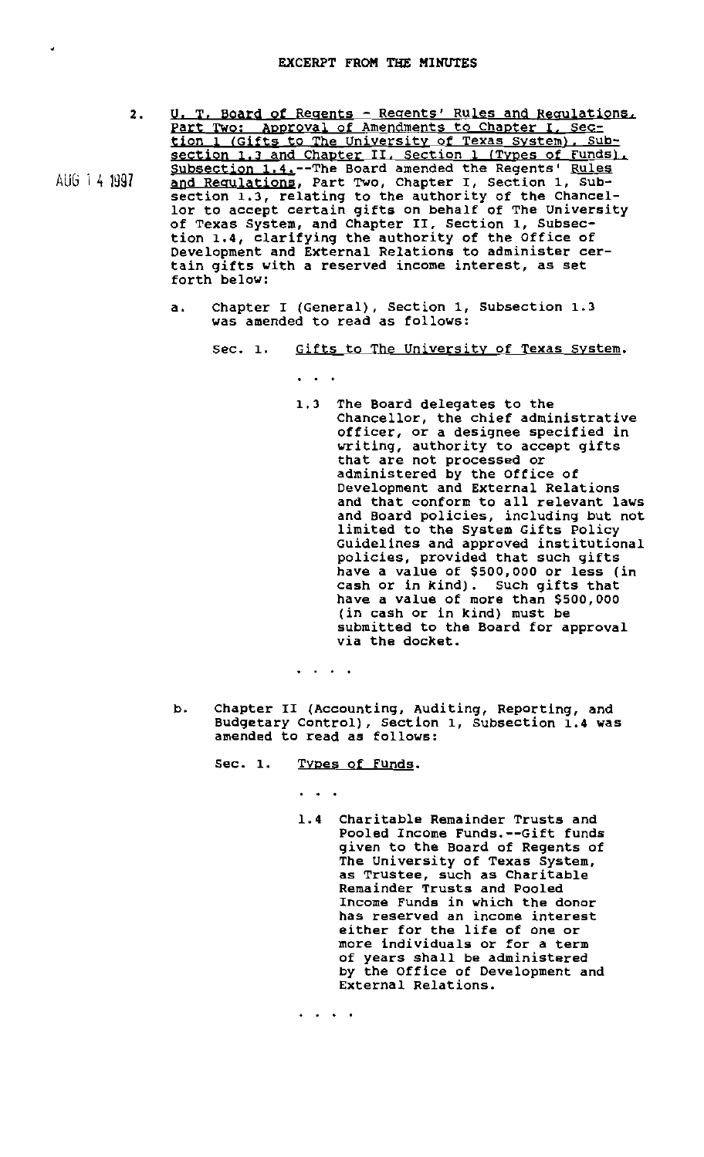•

- 2. AUG 1 4 1997 U. T. Board of Regents - Regents' Rules and Regulations. Part Two: Approval of Amendments to Chapter I. Section 1 (Gifts to The University of Texas System), Subsection 1.3 and Chapter II. Section 1 (Types of Funds). Subsection 1.4.--The Board amended the Regents' Rules and Requlations, Part Two, Chapter I, Section 1, Subsection 1.3, relating to the authority of the Chancellor to accept certain gifts on behalf of The University of Texas System, and Chapter II, Section 1, Subsection 1.4, clarifying the authority of the Office of Development and External Relations to administer certain gifts with a reserved income interest, as set forth below:
	- a. Chapter I (General), Section 1, Subsection 1.3 was amended to read as follows:

Sec. 1. Gifts to The University of Texas System.

1.3 The Board delegates to the Chancellor, the chief administrative officer, or a designee specified in writing, authority to accept gifts that are not processed or administered by the Office of Development and External Relations and that conform to all relevant laws and Board policies, including but not limited to the System Gifts Policy Guidelines and approved institutional policies, provided that such gifts have a value of \$500,000 or less (in cash or in kind). Such gifts that have a value of more than \$500,000 (in cash or in kind) must be submitted to the Board for approval via the docket.

. .

 $\ddot{\phantom{1}}$ 

- b. Chapter II (Accounting, Auditing, Reporting, and Budgetary Control), section 1, Subsection 1.4 was amended to read as follows:
	- Sec. 1. Types of Funds.

1.4 Charitable Remainder Trusts and Pooled InCOme Funds.--Gift funds given to the Board of Regents of The University of Texas System, as Trustee, such as Charitable Remainder Trusts and Pooled Income Funds in which the donor has reserved an income interest either for the life of one or more individuals or for a term of years shall be administered by the Office of Development and External Relations.

 $\begin{array}{cccccccccc} \bullet & \bullet & \bullet & \bullet & \bullet & \bullet \end{array}$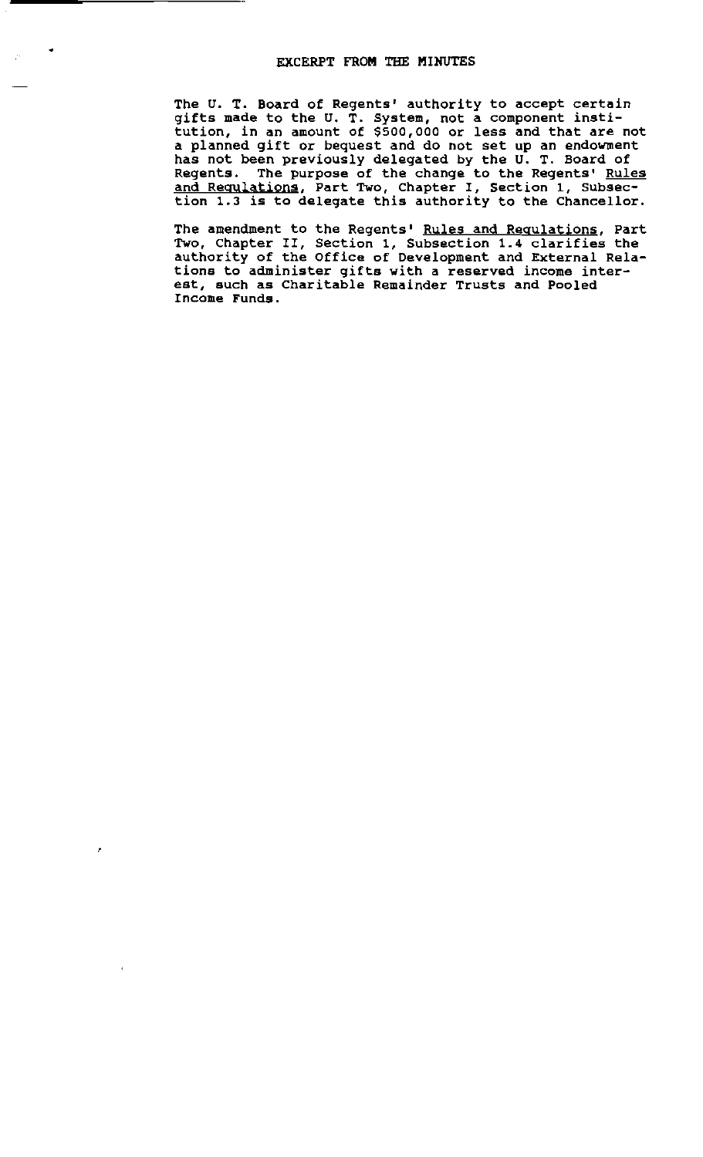# EXCERPT FROM THE MINUTES

•

 $\bar{\bar{z}}$ 

 $\mathbf{d}$ 

The U. T. Board of Regents' authority to accept certain gifts made to the U. T. System, not a component institution, in an amount of \$500,000 or less and that are not a planned gift or bequest and do not set up an endowment has not been previously delegated by the U. T. Board of Regents. The purpose of the change to the Regents' Rules and Regulations, Part Two, Chapter I, Section 1, Subsection 1.3 is to delegate this authority to the Chancellor.

The amendment to the Regents' Rules and Requlations, Part Two, Chapter II, Section 1, Subsection 1.4 clarifies the authority of the Office of Development and External Relations to administer gifts with a reserved income interest, such as Charitable Remainder Trusts and Pooled Income Funds.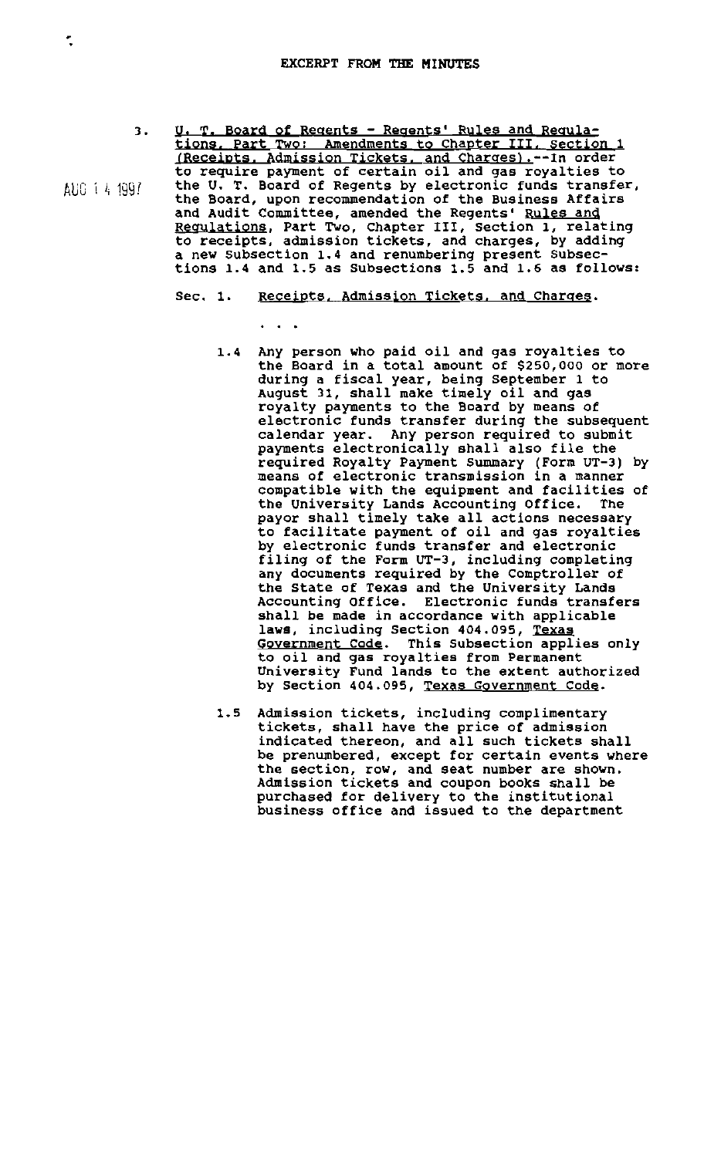- 3. U. T. Board of Regents Regents' Rules and Regulations. Part Two: Amendments to Chapter III. section 1 (Receipts, Admission Tickets. and Charges).--In order to require payment of certain oil and gas royalties to<br>the U. T. Board of Regents by electronic funds transfer,  $\text{AUC}$  ( $\text{4}$  1991 the U. T. Board of Regents by electronic funds transfer, the Board, upon recommendation of the Business Affairs and Audit Committee, amended the Regents' Rules and and Addit Committee, amended the Regents Rafes and to receipts, admission tickets, and charges, by adding a new Subsection 1.4 and renumbering present Subsections 1.4 and 1.5 as Subsections 1.5 and 1.6 as follows:
	- Sec. 1. Receipts, Admission Tickets, and Charges.
		- . .
		- 1.4 Any person who paid oil and gas royalties to the Board in a total amount of \$250,000 or more during a fiscal year, being September 1 to auring a risear fear, sering september 1.<br>August 31, shall make timely oil and gas royalty payments to the Board by means of electronic funds transfer during the subsequent calendar year. Any person required to submit payments electronically shall also file the required Royalty Payment summary (Form UT-3) by means of electronic transmission in a manner compatible with the equipment and facilities of the University Lands Accounting Office. The payor shall timely take all actions necessary to facilitate payment of oil and gas royalties by electronic funds transfer and electronic filing of the Form UT-3, including completing any documents required by the Comptroller of the State of Texas and the University Lands Accounting Office. Electronic funds transfers shall be made in accordance with applicable laws, including Section 404.095, Texas Goyernment Code. This Subsection applies only to oil and gas royalties from Permanent University Fund lands to the extent authorized by Section 404.095, Texas Government Code.
		- 1.5 Admission tickets, including complimentary tickets, shall have the price of admission indicated thereon, and all such tickets shall be prenumbered, except for certain events where the section, row, and seat number are shown. Admission tickets and coupon books shall be purchased for delivery to the institutional business office and issued to the department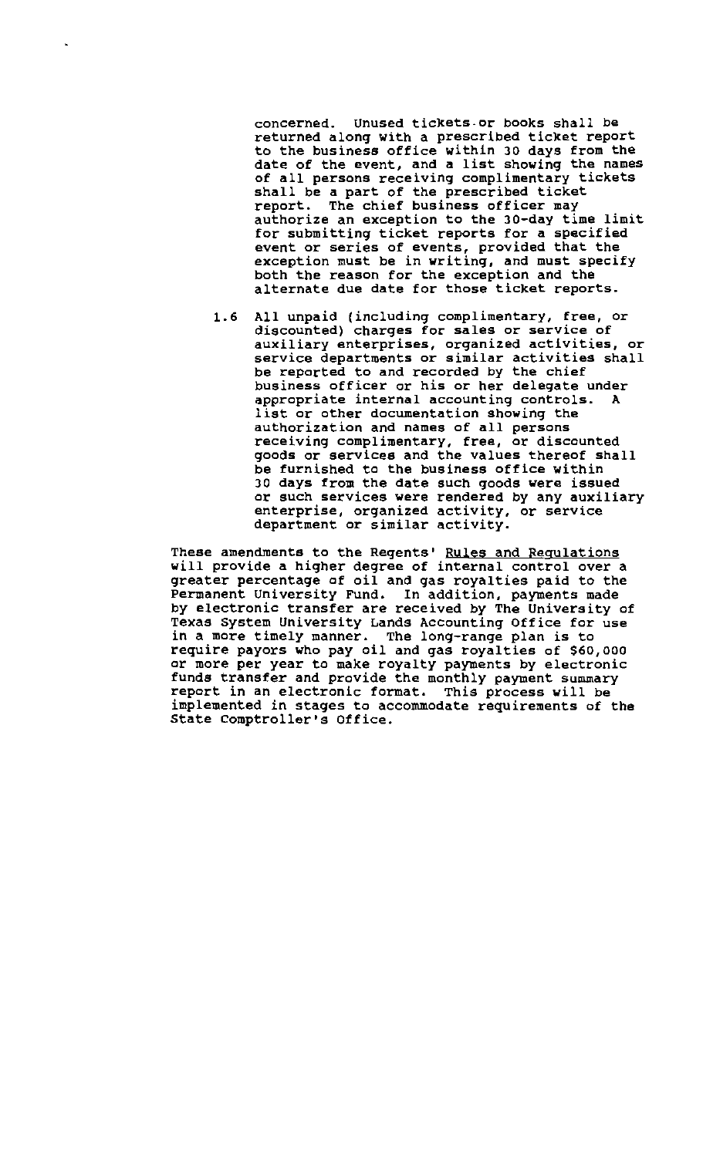concerned. Unused tickets. or books shall be returned along with a prescribed ticket report to the business office within 30 days from the date of the event, and a list showing the names of all persons receiving complimentary tickets shall be a part of the prescribed ticket report. The chief business officer may authorize an exception to the 3D-day time limit for submitting ticket reports for a specified event or series of events, provided that the exception must be in writing, and must specify both the reason for the exception and the alternate due date for those ticket reports.

1.6 All unpaid (including complimentary, free, or discounted) charges for sales or service of auxiliary enterprises, organized activities, or service departments or similar activities shall be reported to and recorded by the chief business officer or his or her delegate under appropriate internal accounting controls. A list or other documentation showing the authorization and names of all persons receiving complimentary, free, or discounted goods or services and the values thereof shall be furnished to the business office within 30 days from the date such goods were issued or such services were rendered by any auxiliary enterprise, organized activity, or service department or similar activity.

These amendments to the Regents' Rules and Regulations will provide a higher degree of internal control over a greater percentage of oil and gas royalties paid to the Permanent University Fund. In addition, payments made by electronic transfer are received by The University of Texas System University Lands Accounting Office for use in a more timely manner. The long-range plan is to require payors who pay oil and gas royalties of \$60,000 or more per year to make royalty payments by electronic funds transfer and provide the monthly payment summary report in an electronic format. This process will be implemented in stages to accommodate requirements of the State Comptroller's Office.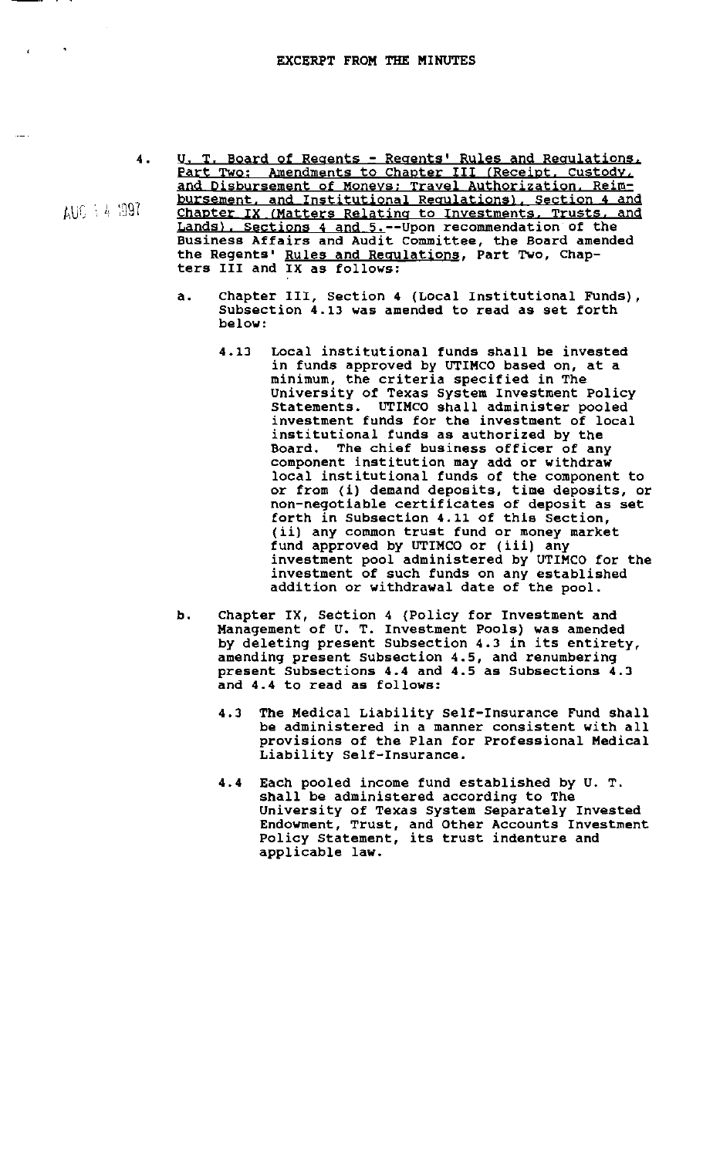$A10.14.397$ 

 $\mathbf{r}$ 

- 4. U. T. Board of Regents Regents' Rules and Regulations, Part Two: Amendments to Chapter III (Receipt, Custody, and Disbursement of Moneys; Travel Authorization. Reimbursement. and Institutional Regulations), Section 4 and Chapter IX (Matters Relating to Investments, Trusts, and Lands), Sections 4 and 5.--Upon recommendation of the Business Affairs and Audit committee, the Board amended the Regents' Rules and Regulations, Part Two, Chap-ters III and IX as follows:
	- a. Chapter III, Section 4 (Local Institutional Funds), Subsection 4.13 was amended to read as set forth below:
		- 4.13 Local institutional funds shall be invested in funds approved by UTIMCO based on, at a minimum, the criteria specified in The University of Texas System Investment Policy Statements. UTIMcO shall administer pooled investment funds for the investment of local institutional funds as authorized by the Board. The chief business officer of any component institution may add or withdraw local institutional funds of the component to or from (i) demand deposits, time deposits, or non-negotiable certificates of deposit as set forth in Subsection 4.11 of this section, (ii) any common trust fund or money market fund approved by UTIMCO or (iii) any investment pool administered by UTIMCO for the investment of such funds on any established addition or withdrawal date of the pool.
	- b. Chapter IX, Section 4 (Policy for Investment and Management of U. T. Investment Pools) was amended by deleting present Subsection 4.3 in its entirety, amending present sUbsection 4.5, and renumbering present Subsections 4.4 and 4.5 as SUbsections 4.3 and 4.4 to read as follows:
		- 4.3 The Medical Liability self-Insurance Fund shall be administered in a manner consistent with all provisions of the Plan for Professional Medical Liability Self-Insurance.
		- 4.4 Each pooled income fund established by U. T. shall be administered according to The University of Texas System Separately Invested Endowment, Trust, and Other Accounts Investment Endowment, frust, and other Accounts fives<br>Policy Statement, its trust indenture and applicable law.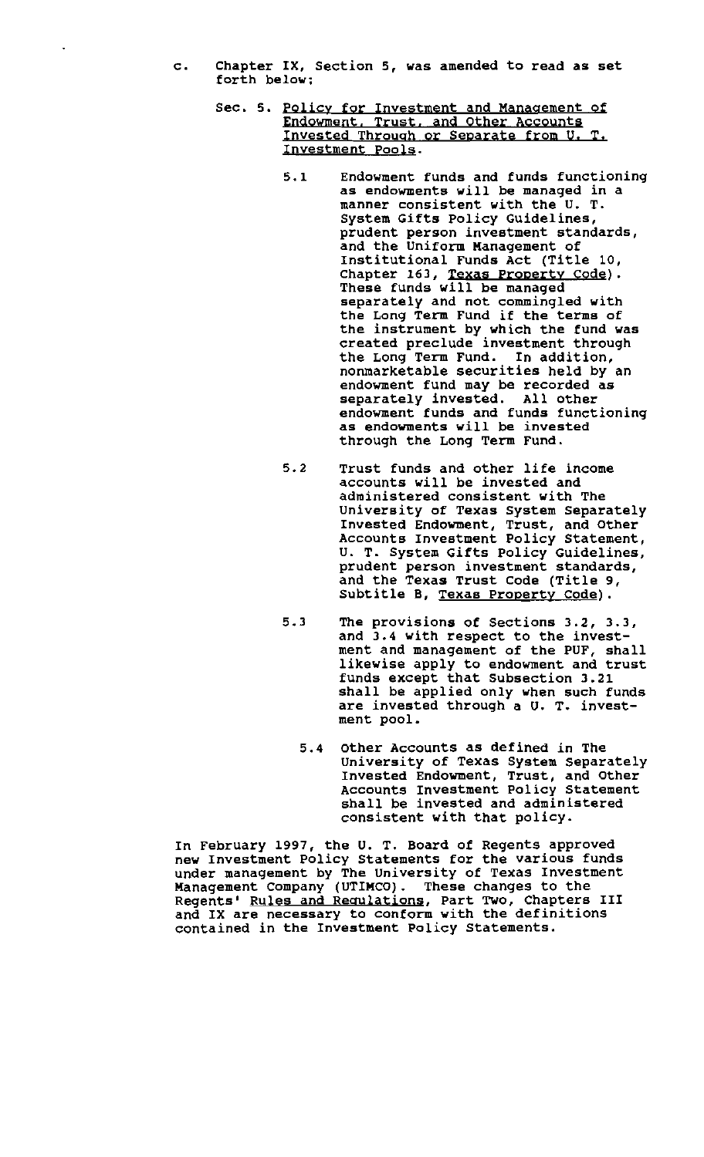c. Chapter IX, Section S, was amended to read as set forth below;

 $\ddot{\phantom{0}}$ 

- Sec. 5. Policy for Investment and Management of Endowment, Trust, and Other Accounts Endowment, Trust, and Other Accounts<br>Invested Through or Separate from U.T. Investment Pools.
	- 5.1 Endowment funds and funds functioning as endowments will be managed in a manner consistent with the U. T. System Gifts Policy Guidelines, prudent person investment standards, and the Uniform Management of Institutional Funds Act (Title 10, Chapter 163, Texas Property Code). These funds will be managed separately and not commingled with the Long Term Fund if the terms of the instrument by which the fund was created preclude investment through the Long Term Fund. In addition, nonmarketable securities held by an endowment fund may be recorded as separately invested. All other endowment funds and funds functioning as endowments will be invested through the Long Term Fund.
	- 5.2 Trust funds and other life income accounts will be invested and administered consistent with The University of Texas System Separately Invested Endowment, Trust, and Other Accounts Investment Policy Statement, U. T. System Gifts Policy Guidelines, prudent person investment standards, and the Texas Trust Code (Title 9, Subtitle B, Texas Property Code).
	- 5.3 The provisions of Sections 3.2, 3.3, and 3.4 with respect to the investment and management of the PUF, shall likewise apply to endowment and trust funds except that Subsection 3.21 shall be applied only when such funds are invested through a U. T. investment pool.
		- 5.4 Other Accounts as defined in The University of Texas System Separately Invested Endowment, Trust, and Other Accounts Investment Policy Statement shall be invested and administered consistent with that policy.

In February 1997, the U. T. Board of Regents approved new Investment Policy Statements for the various funds under management by The University of Texas Investment Management Company (UTIMCO). These changes to the nding chaing company (Signecy) include changes of the and IX are necessary to conform with the definitions contained in the Investment Policy Statements.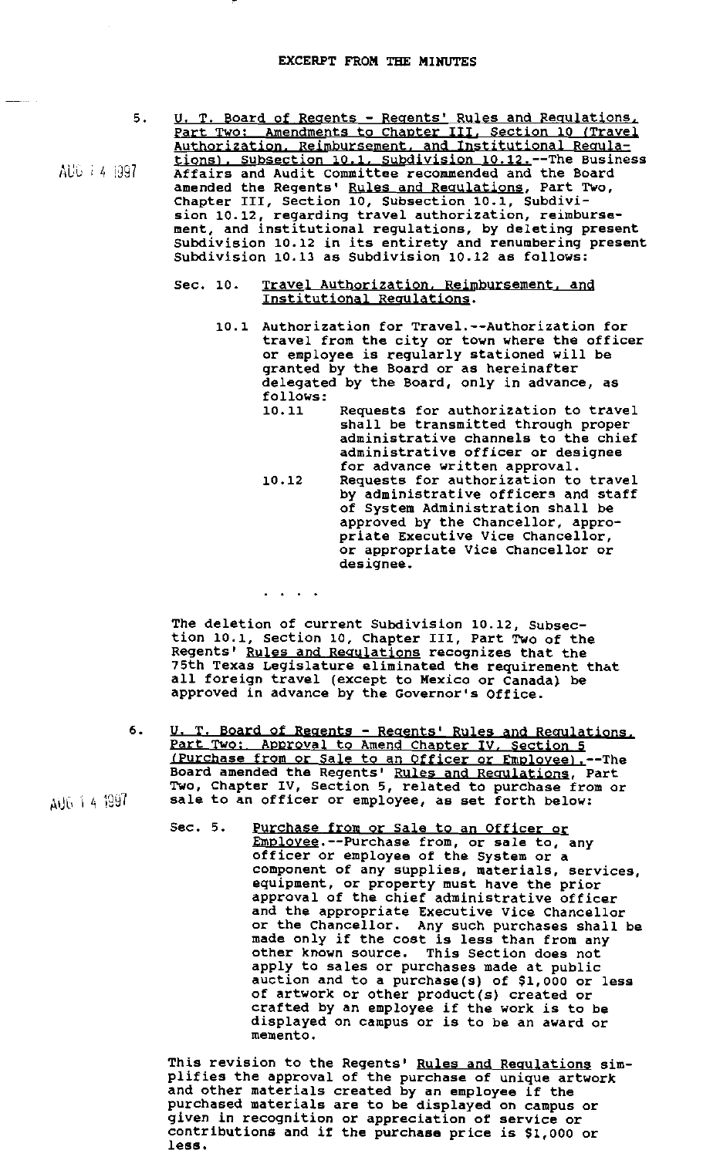- 5. U. T. Board of Regents - Regents' Rules and Regulations, Part Two: Amendments to Chapter III, Section 10 (Travel Authorization. Reimbursement. and Institutional Regulations), Subsection 10.1, Subdivision 10.12.--The Business Affairs and Audit committee recommended and the Board amended the Regents' Rules and Requlations, Part Two, Chapter III, Section 10, Subsection 10.1, Subdivi sion 10.12, regarding travel authorization, reimbursement, and institutional regulations, by deleting present ment, and institutional regulations, by detecting present<br>Subdivision 10.12 in its entirety and renumbering present Subdivision 10.13 as Subdivision 10.12 as follows:
	- Sec. 10. Travel Authorization. Reimbursement, and Institutional Regulations.
		- 10.1 Authorization for Travel.--Authorization for travel from the city or town where the officer or employee is regularly stationed will be granted by the Board or as hereinafter delegated by the Board, only in advance, as follows:<br>10.11
			- Requests for authorization to travel shall be transmitted through proper administrative channels to the chief administrative officer or designee for advance written approval.
			- 10.12 Requests for authorization to travel by administrative officers and staff of System Administration shall be approved by the Chancellor, appropriate Executive Vice Chancellor, or appropriate Vice Chancellor or designee.

The deletion of current Subdivision 10.12, Subsection 10.1, section 10, Chapter III, Part Two of the Regents' Rules and Regulations recognizes that the 75th Texas Legislature eliminated the requirement that all foreign travel (except to Mexico or Canada} be approved in advance by the Governor's Office.

 $\mathbf{r}$  ,  $\mathbf{r}$  ,  $\mathbf{r}$  ,  $\mathbf{r}$ 

- 6. U. T. Board of Regents - Regents' Rules and Regulations. Part Two: Approval to Amend Chapter IV, Section 5 (Purchase from or Sale to an Officer or Employee).--The
	- Sec. 5. Purchase from or Sale to an Officer or Employee.--Purchase from, or sale to, any officer or employee of the System or a component of any supplies, materials, services, equipment, or property must have the prior approval of the chief administrative officer and the appropriate Executive Vice Chancellor or the Chancellor. Any such purchases shall be made only if the cost is less than from any other known source. This Section does not apply to sales or purchases made at public auction and to a purchase(s) of \$1,000 or less of artwork or other product(s) created or crafted by an employee if the work is to be displayed on campus or is to be an award or memento.

This revision to the Regents' Rules and Regulations simplifies the approval of the purchase of unique artwork and other materials created by an employee if the purchased materials are to be displayed on campus or given in recognition or appreciation of service or contributions and if the purchase price is \$1,000 or less.

AUG 14 1997

AUG 7 4 1997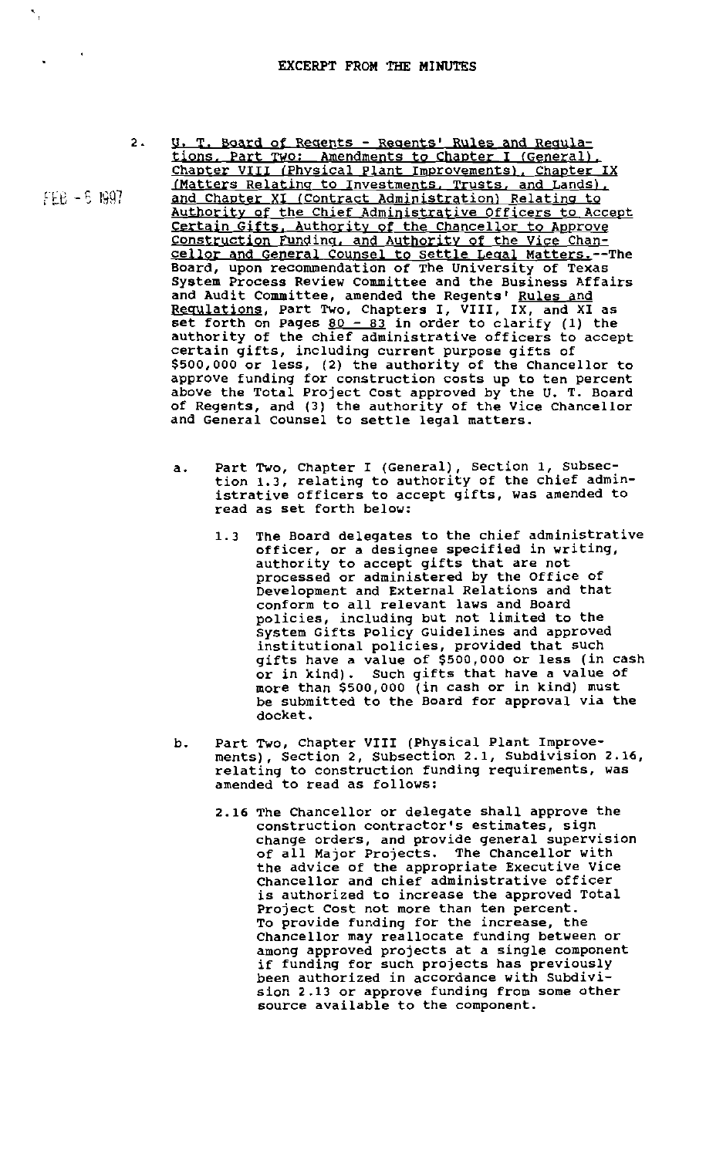U. I, Board of Regents - Regents' Rules and Regula-

 $2.$ 

fI8 - S 1997

 $\sim$  4  $^{\circ}$ 

,

- tions. Part TWo; Amendments to Chapter I {General), Chapter VIII (Physical Plant Improvements), Chapter IX (Matters Relating to Investments. Trusts. and Lands), and Chapter XI (Contract Administration) Relating to Authority of the Chief Administrative Officers to Accept Certain Gifts. Authority of the Chancellor to Approve constryction Fundinq. and Authority of the vice Chancellor and General Counsel to settle Legal Matters.--The Board, upon recommendation of The University of Texas System Process Review Committee and the Business Affairs and Audit Committee, amended the Regents' Rules and Requlations, Part Two, Chapters I, VIII, IX, and XI as set forth on Pages  $80 - 83$  in order to clarify (1) the authority of the chief administrative officers to accept certain gifts, inclUding current purpose gifts of \$500,000 or less, (2) the authority of the Chancellor to approve funding for construction costs up to ten percent above the Total Project Cost approved by the U. T. Board of Regents, and (3) the authority of the Vice chancellor and General Counsel to settle legal matters.
	- a. Part Two, Chapter I (General), Section 1, Subsec tion 1.3, relating to authority of the chief admin istrative officers to accept gifts, was amended to read as set forth below:
		- 1.3 The Board delegates to the chief administrative officer, or a designee specified in writing, authority to accept gifts that are not processed or administered by the Office of Development and External Relations and that conform to all relevant laws and Board policies, including but not limited to the system Gifts policy Guidelines and approved institutional policies, provided that such gifts have a value of \$500,000 or less (in cash or in kind). Such gifts that have a value of more than \$500,000 (in cash or in kind) must be submitted to the Board for approval via the docket.
	- b. Part Two, Chapter VIII (physical Plant Improvements), Section 2, Subsection 2.1, Subdivision 2.16, relating to construction funding requirements, was amended to read as follows:
		- 2.16 The Chancellor or delegate shall approve the construction contractor's estimates, sign change orders, and provide general supervision of all Major Projects. The Chancellor with the advice of the appropriate Executive Vice Chancellor and chief administrative officer is authorized to increase the approved Total Project Cost not more than ten percent. To provide funding for the increase, the Chancellor may reallocate funding between or among approved projects at a single component among approved projects at a single component been authorized in accordance with SUbdivision 2.13 or approve funding from some other source available to the component.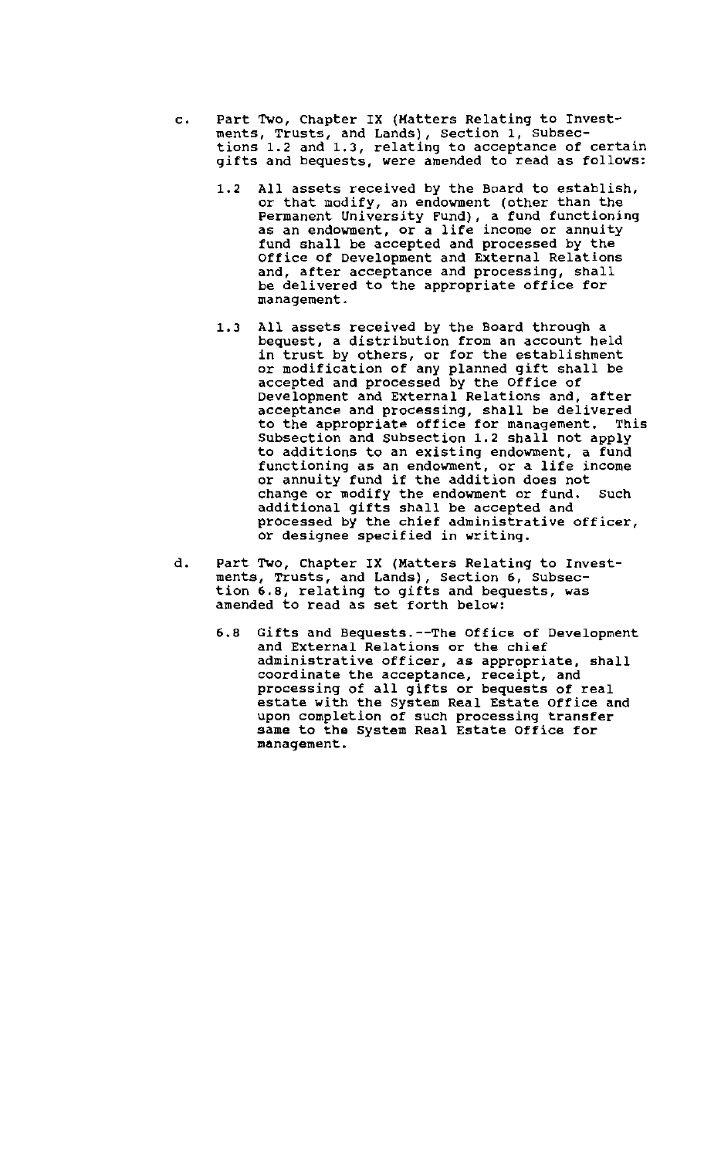- c. Part Two, Chapter IX (Hatters Relating to Investments, Trusts, and Lands), section 1, subsections 1.2 and 1.3, relating to acceptance of certain gifts and bequests, were amended to read as follows:
	- 1.2 All assets received by the Board to establish, or that modify, an endowment (other than the Permanent University Fund), a fund functioning as an endowment, or a life income or annuity fund shall be accepted and processed by the Office of Development and External Relations and, after acceptance and processing, shall be delivered to the appropriate office for management.
	- 1.3 All assets received by the Board through a bequest, a distribution from an account held *in* trust by others, or for the establishment or modification of any planned gift shall be accepted and processed by the Office of Development and External Relations and, after acceptance and processing, shall be delivered to the appropriate office for management. This to the appropriate office for management. This<br>Subsection and Subsection 1.2 shall not apply to additions to an existing endowment, a fund functioning as an endowment, or a life income or annuity fund if the addition does not change or modify the endowment or fund. Such additional gifts shall be accepted and processed by the chief administrative officer, or designee specified in writing.
- d. Part Two, Chapter IX (Matters Relating to Investments, Trusts, and Lands), Section 6, Subsection 6.8, relating to gifts and bequests, was amended to read as set forth below:
	- 6.8 Gifts and Bequests.--The Office of Development and External Relations or the chief administrative officer, as appropriate, shall coordinate the acceptance, receipt, and processing of all gifts or bequests of real estate with the system Real Estate Office and upon completion of such processing transfer same to the System Real Estate Office for management.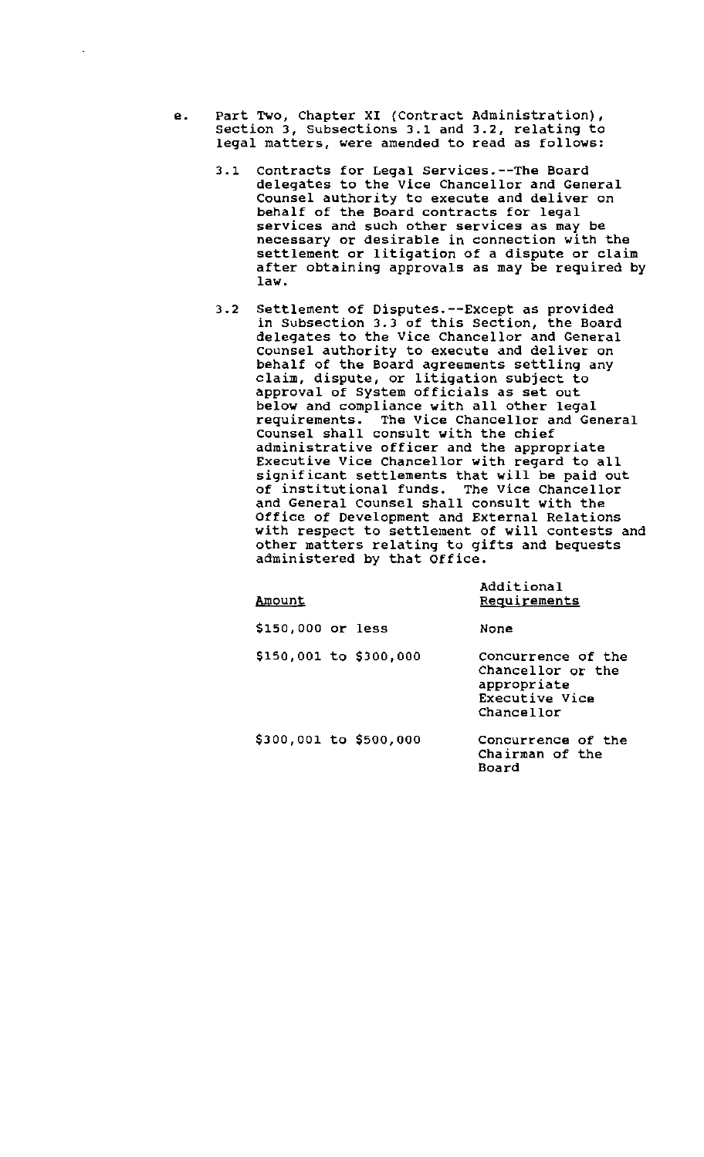- e. Part Two, Chapter XI (Contract Administration), section 3, subsections 3.1 and 3.2, relating to legal matters, were amended to read as follows:
	- 3.1 Contracts for Legal Services.--The Board delegates to the Vice Chancellor and General Counsel authority to execute and deliver on behalf of the Board contracts for legal services and such other services as may be necessary or desirable in connection with the settlement or litigation of a dispute or claim after obtaining approvals as may be required by law.
	- 3.2 Settlement of Disputes.--Except as provided in Subsection 3.3 of this Section, the Board delegates to the Vice Chancellor and General Counsel authority to execute and deliver on behalf of the Board agreements settling any claim, dispute, or litigation SUbject to approval of System officials as set out below and compliance with all other legal requirements. The Vice Chancellor and General Counsel shall consult with the chief administrative officer and the appropriate Executive Vice Chancellor with regard to all significant settlements that will be paid out of institutional funds. The Vice Chancellor and General Counsel shall consult with the Office of Development and External Relations with respect to settlement of will contests and other matters relating to gifts and bequests administered by that Office.

| <u>Amount</u>          | Additional<br>Requirements                                                             |
|------------------------|----------------------------------------------------------------------------------------|
| \$150,000 or less      | None                                                                                   |
| \$150,001 to \$300,000 | Concurrence of the<br>Chancellor or the<br>appropriate<br>Executive Vice<br>Chancellor |
| \$300,001 to \$500,000 | Concurrence of the<br>Chairman of the<br>Board                                         |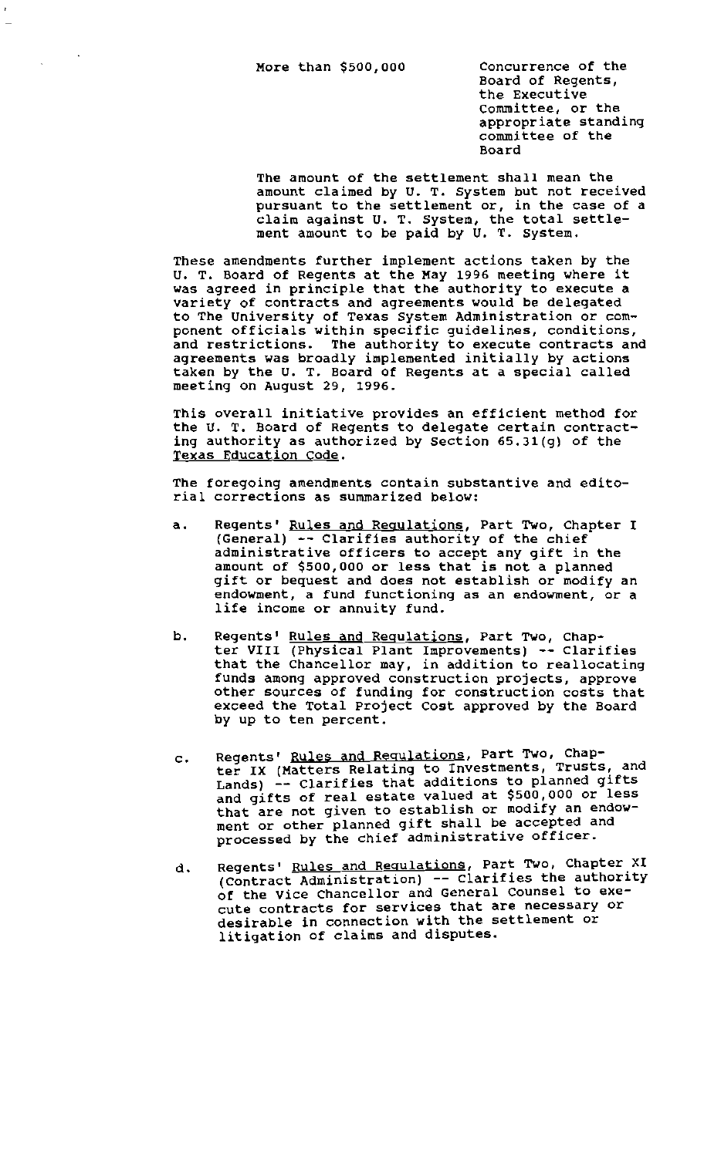Board of Regents, the Executive committee, or the appropriate standing committee of the Board

The amount of the settlement shall mean the amount claimed by U. T. System but not received pursuant to the settlement or, in the case of a claim against U. T. System, the total settlement amount to be paid by U. T. System.

These amendments further implement actions taken by the U. T. Board of Regents at the May 1996 meeting where it was agreed in principle that the authority to execute a variety of contracts and agreements would be delegated to The University of Texas System Administration or component officials within specific guidelines, conditions, and restrictions. The authority to execute contracts and agreements was broadly implemented initially by actions taken by the U. T. Board of Regents at a special called meeting on August 29, 1996.

This overall initiative provides an efficient method for the U. T. Board of Regents to delegate certain contracting authority as authorized by section 65.31(g) of the Texas Education code.

The foregoing amendments contain substantive and editorial corrections as summarized below:

- a. Regents' <u>Rules and Regulations</u>, Part Two, Chapter I (General) -- Clarifies authority of the chief administrative officers to accept any gift in the amount of \$500,000 or less that is not a planned gift or bequest and does not establish or modify an endowment, a fund functioning as an endowment, or a life income or annuity fund.
- b. Regents' Rules and Requlations, Part Two, Chapter VIII (Physical Plant Improvements) -- Clarifies that the Chancellor may, in addition to reallocating funds among approved construction projects, approve other sources of funding for construction costs that exceed the Total project Cost approved by the Board by up to ten percent.
- c. Regents' Rules and Regulations, Part Two, Chapter IX (Matters Relating to Investments, Trusts, and Lands) -- Clarifies that additions to planned gifts and gifts of real estate valued at \$500,000 or less that are not given to establish or modify an endowment or other planned gift shall be accepted and processed by the chief administrative officer.
- d. Regents' Rules and Requlations, Part Two, Chapter XI  $(Contract$  $Administration)$  -- Clarifies the authority of the Vice Chancellor and General Counsel to execute contracts for services that are necessary or desirable in connection with the settlement or litigation of claims and disputes.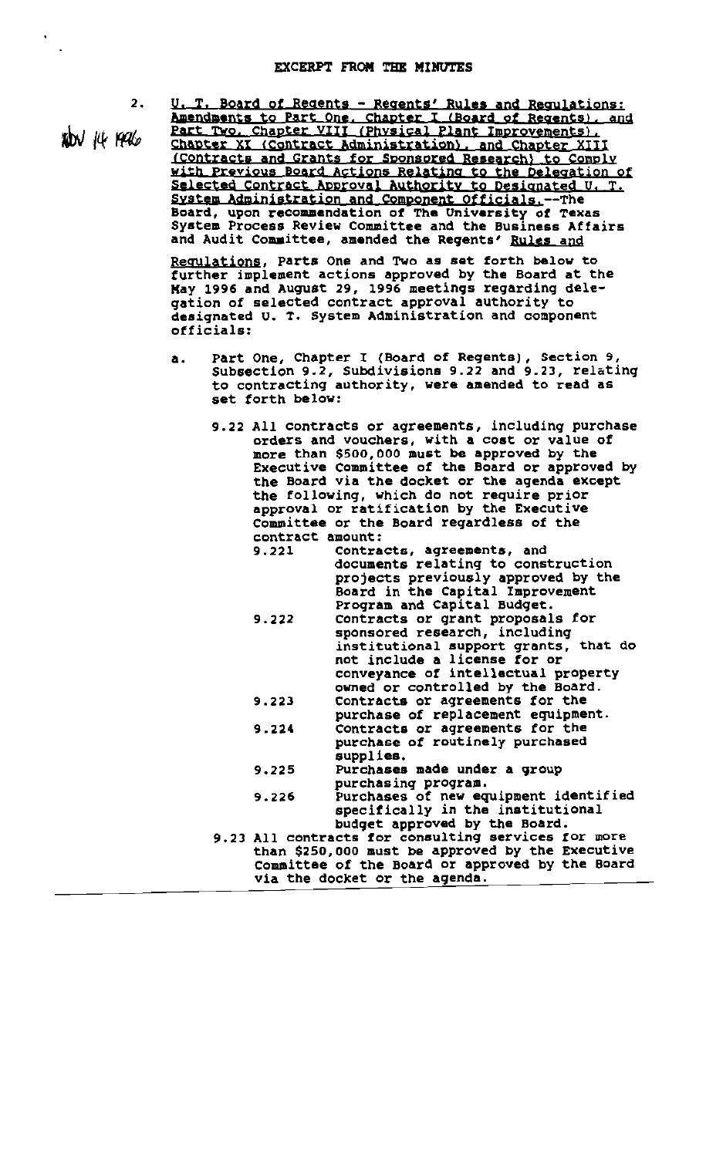$300$  14  $190$ 

2. U. T. Board of Regents - Regents' Rules and Regulations: Amendments to Part One. Chapter I (Board of Regents), and Part Two, Chapter VIII (Physical Plant Improvements), Chapter XI (Contract Administration), and Chapter XIII (Contracts and Grants for Sponsored Research) to Comply with Previous Board Actions Relating to the Delegation of Selected Contract Approval Authority to Designated U. T. system Administration and Component Officials.--The Board, upon recommendation of The University of Texas System Process Review Committee and the Business Affairs and Audit Committee, amended the Regents' Rules and

Regulations, Parts One and Two as set forth below to further implement actions approved by the Board at the May 1996 and Auqust 29, 1996 meetinqs regarding delegation of selected contract approval authority to designated U. T. System Administration and component Officials:

- a. Part One, Chapter I (Board of Regents), Section 9, SUbsection 9.2, SUbdivisions 9.22 and 9.23, relating to contracting authority, were amended to read as set forth below:
	- 9.22 All contracts or agreements, including purchase orders and vouchers, with a cost or value of more than \$500,000 must be approved by the Executive Committee of the Board or approved by the Board via the docket or the agenda except the following, Which do not require prior approval or ratification by the Executive Committee or the Board regardless of the contract amount:

| 9.221 | Contracts, agreements, and                          |
|-------|-----------------------------------------------------|
|       | documents relating to construction                  |
|       | projects previously approved by the                 |
|       | Board in the Capital Improvement                    |
|       | Program and Capital Budget.                         |
| 9.222 | Contracts or grant proposals for                    |
|       | sponsored research, including                       |
|       | institutional support grants, that do               |
|       |                                                     |
|       | not include a license for or                        |
|       | conveyance of intellectual property                 |
|       | owned or controlled by the Board.                   |
| 9.223 | Contracts or agreements for the                     |
|       | purchase of replacement equipment.                  |
| 9.224 | Contracts or agreements for the                     |
|       | purchase of routinely purchased                     |
|       | supplies.                                           |
|       |                                                     |
| 9.225 | Purchases made under a group                        |
|       | purchasing program.                                 |
| 9.226 | Purchases of new equipment identified               |
|       | specifically in the institutional                   |
|       | budget approved by the Board.                       |
|       | 9.23 All contracts for consulting services for more |
|       | than \$250,000 must be approved by the Executive    |
|       | Committee of the Board or approved by the Board     |
|       | via the docket or the agenda.                       |
|       |                                                     |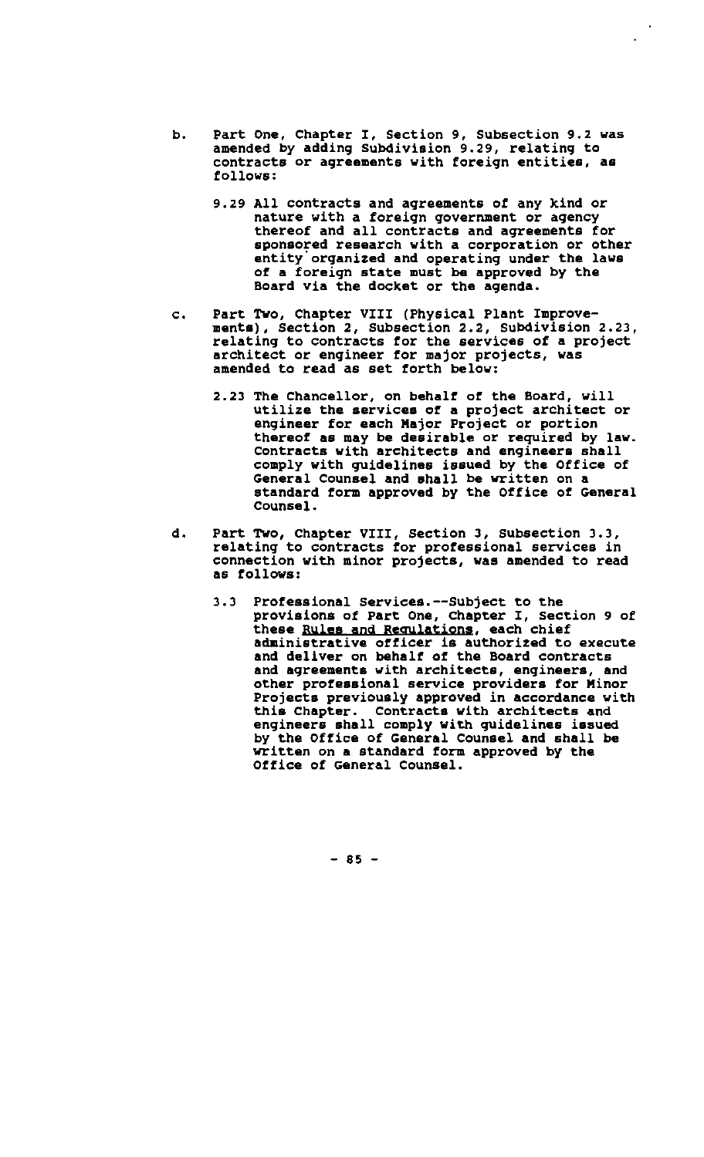- b. Part One, Chapter I, Section 9, Subsection 9.2 was amended by adding Subdivision 9.29, relating to contracts or agreements with foreign entities, as follows:
	- 9.29 All contracts and agreements of any kind or nature with a foreign government or agency thereof and all contracts and agreements for sponsored research with a corporation or other entity organized and operating under the laws of a foreign state must be approved by the Board via the docket or the agenda.
- c. Part Two, Chapter VIII (Physical Plant Improvements), Section 2, Subsection 2.2, subdivision 2.23, relating to contracts for the services of a project architect or engineer for major projects, was amended to read as set forth below:
	- 2.23 The Chancellor, on behalf of the Board, will utilize the services of a project architect or engineer for each Major Project or portion thereof as may be desirable or required by law. Contracts with architects and engineers shall comply with guidelines issued by the Office of General Counsel and shall be written on a standard form approved by the Office of General Counsel.
- d. Part Two, Chapter VIII, Section 3, Subsection 3.3, relating to contracts for professional services in connection with minor projects, was amended to read as follows:
	- 3.3 Professional Services.--Subject to the provisions of Part One, Chapter I, Section 9 of these Rules and Regulations, each chief administrative officer is authorized to execute and deliver on behalf of the Board contracts and agreements with architects, engineers, and other professional service providers for Minor Projects previously approved in accordance with<br>this Chapter. Contracts with architects and Contracts with architects and engineers shall comply with quidelines issued by the Office of General Counsel and shall be written on a standard form approved by the Office of General Counsel.

 $- 85 -$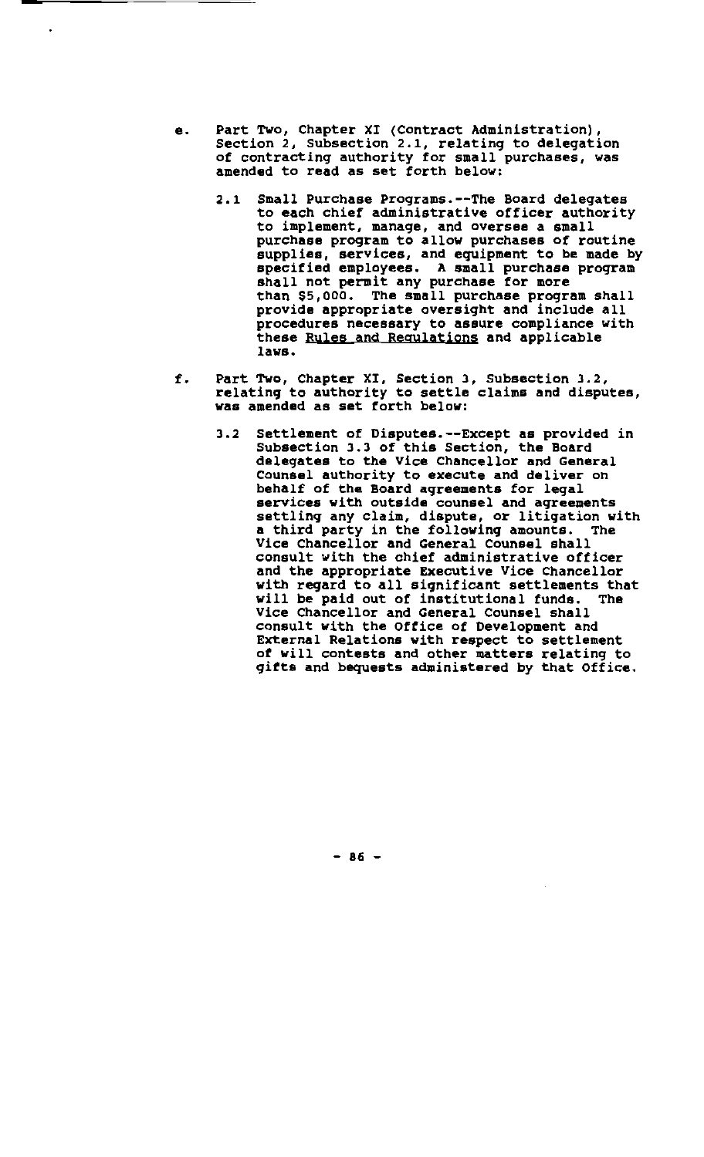e. Part Two, Chapter XI (Contract Administration) Section 2, Subsection 2.1, relating to delegation of contracting authority for small purchases, was amended to read as set forth below:

 $\ddot{\phantom{1}}$ 

- 2.1 Small Purchase Programs.--The Board delegates to each chief administrative officer authority to implement, manage, and oversee a small purchase program to allow purchases of routine supplies, services, and equipment to be made by specified employees. A small purchase program shall not permit any purchase for more than \$5,000. The small purchase program shall provide appropriate oversight and include all procedures necessary to assure compliance with these Rules and Regulations and applicable laws.
- f. Part Two, Chapter XI, Section 3, Subsection 3.2, relating to authority to settle claims and disputes, was amended as set forth below:
	- 3.2 Settlement of Disputes.--Except as provided in Subsection 3.3 of this Section, the Board delegates to the Vice Chancellor and General Counsel authority to execute and deliver on behalf of the Board aqreements for legal services with outside counsel and aqreements settlinq any claim, dispute, or litiqation with a third party in the following amounts. The Vice Chancellor and General Counsel shall consult with the chief administrative officer and the appropriate Executive Vice Chancellor with regard to all significant settlements that<br>will be paid out of institutional funds. The will be paid out of institutional funds. Vice Chancellor and General Counsel shall consult with the Oftice of Development and External Relations with respect to settlement *ot* will contests and other matters relating to gifts and bequests administered by that Office.

 $-86 -$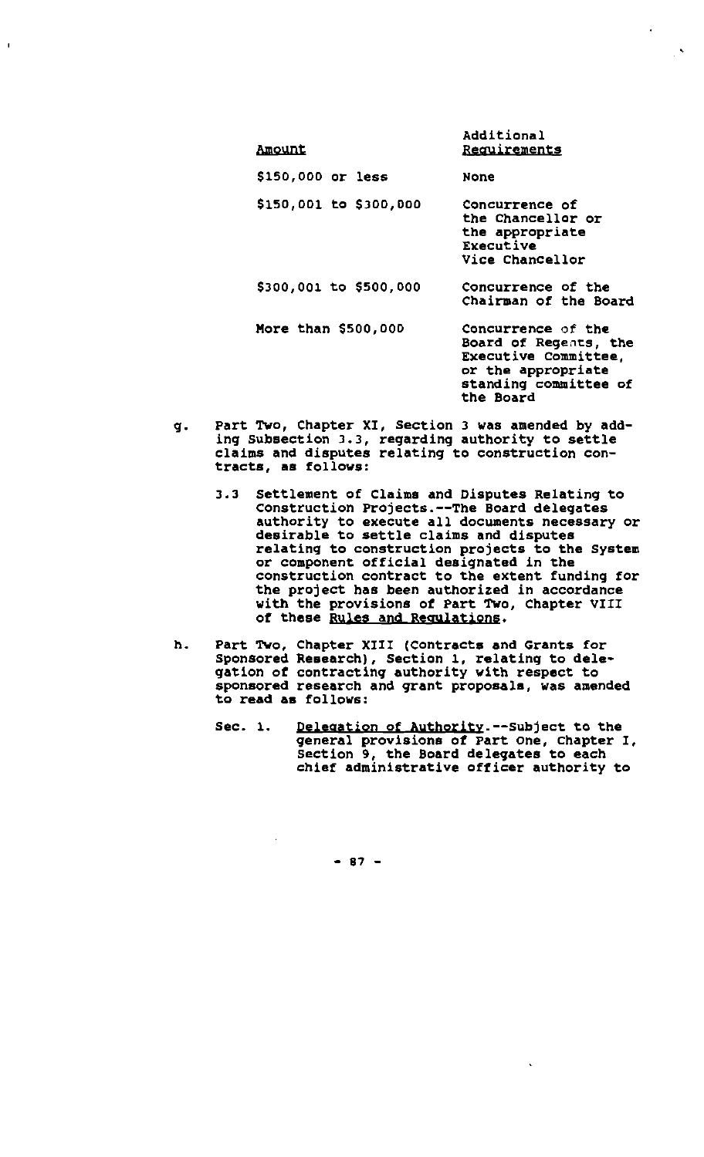| <u>Amount</u>          | AUUILIUNGI<br><b>Requirements</b>                                                                                               |
|------------------------|---------------------------------------------------------------------------------------------------------------------------------|
| \$150,000 or less      | None                                                                                                                            |
| \$150,001 to \$300,000 | Concurrence of<br>the Chancellor or<br>the appropriate<br>Executive<br>Vice Chancellor                                          |
| \$300,001 to \$500,000 | Concurrence of the<br>Chairman of the Board                                                                                     |
| More than \$500,000    | Concurrence of the<br>Board of Regents, the<br>Executive Committee,<br>or the appropriate<br>standing committee of<br>the Board |

Additional

 $\mathbf{r}$ 

g. Part Two, Chapter XI, Section 3 was amended by adding subsection 3.3, regarding authority to settle claims and disputes relating to construction contracts, as follows:

 $\mathbf{I}$ 

- 3.3 Settlement of Claims and Disputes Relating to Construction Projects.--The Board delegates authority to execute all documents necessary or desirable to settle claims and disputes relating to construction projects to the system or component official designated in the construction contract to the extent funding for the project has been authorized in accordance with the provisions *ot* Part Two, Chapter VIII *ot* these Rules and Regulations.
- h. Part Two, Chapter XIII (Contracts and Grants for Sponsored Research), Section 1, relating to dele· gation *ot* contractinq authority with respect to sponsored research and qrant proposals, was amended to read aa follows:
	- Sec. 1. Delegation of Authority.--Subject to the qeneral provisions *ot* Part one, Chapter I, Section 9, the Board deleqates to each chief administrative ofticer authority to

 $\ddot{\phantom{0}}$ 

 $- 87 -$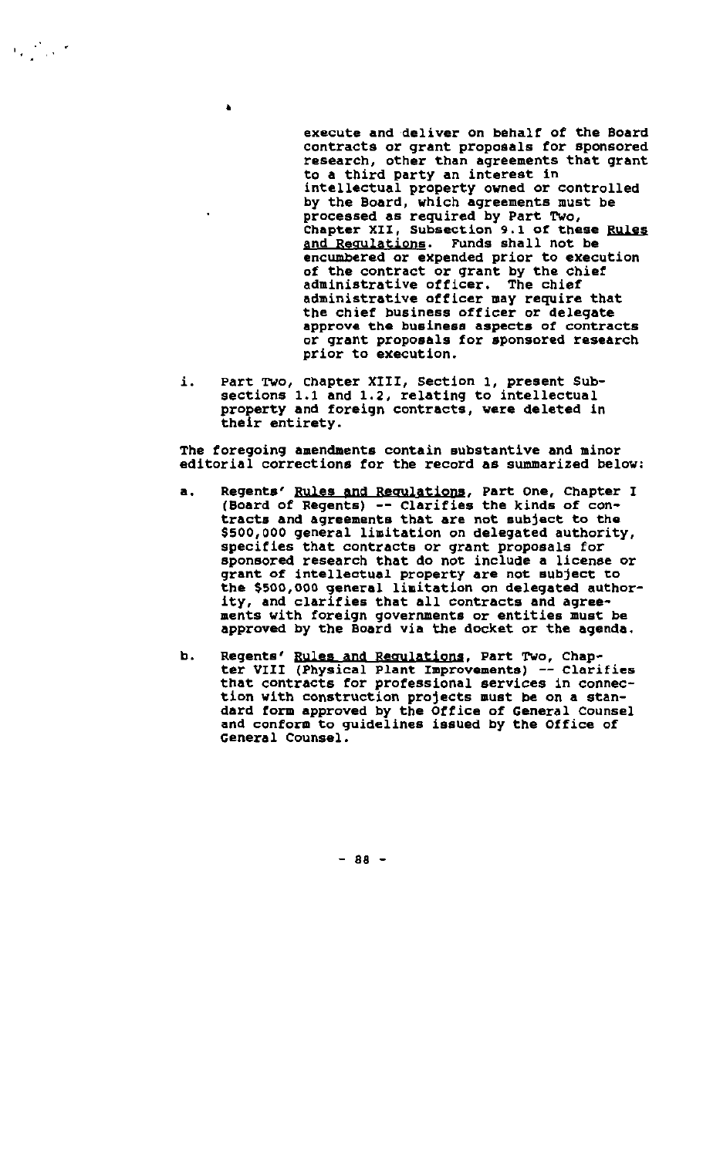execute and 'deliver on behalf of the Board contracts or grant proposals for sponsored research, other than agreements that grant to a third party an interest in intellectual property owned or controlled by the Board, which agreements must be processed as required by Part TWo, Chapter XII, Subsection 9.1 of these Rules and Regulations. Funds shall not be encumbered or expended prior to execution of the contract or grant by the chief administrative officer. The chief administrative officer may require that the chief business officer or delegate approve the businesa aspects of contracts or grant proposals for sponsored research prior to execution.

i. Part Two, Chapter XIII, Section 1, present Subsections 1.1 and 1.2, relating to intellectual property and foreign contracts, were deleted in their entirety.

•

 $\mathcal{F}_\text{c} = \mathcal{F}_\text{c}$  ,  $\mathcal{F}_\text{c}$ 

The foregoing amendments contain substantive and minor editorial corrections for the record as summarized below:

- a. Regents' Rules and Requlations, Part One, Chapter I (Board of Regents) -- Clarifies the kinds of contracts and agreements that are not sUbject to the \$500,000 general limitation on delegated authority, specifies that contracts or grant proposals for sponsored research that do not include a license or grant of intellectual property are not subject to the \$500,000 general limitation on delegated authority, and clarifies that all contracts and agreements with foreign governments or entities must be approved by the Board via the docket or the agenda.
- b. Regents' Rules and Regulations, Part Two, Chapter VIII (Physical Plant Improvements) -- Clarifies that contracts for professional services in connection with construction projects must be on a standard torm approved by the Office of General Counsel and conform to guidelines issued by the Office of General Counsel.

 $- 88 -$